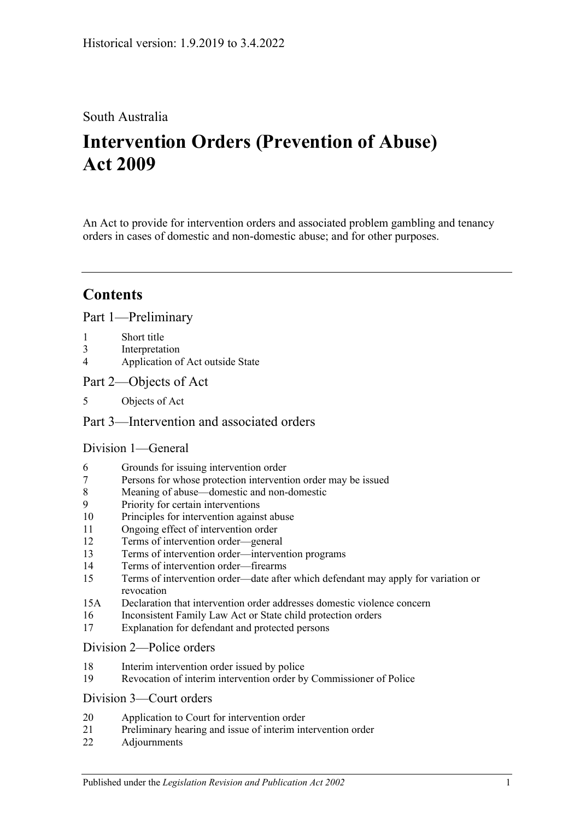# South Australia

# **Intervention Orders (Prevention of Abuse) Act 2009**

An Act to provide for intervention orders and associated problem gambling and tenancy orders in cases of domestic and non-domestic abuse; and for other purposes.

# **Contents**

[Part 1—Preliminary](#page-3-0)

- 1 [Short title](#page-3-1)
- 3 [Interpretation](#page-3-2)
- 4 [Application of Act outside State](#page-5-0)
- [Part 2—Objects of Act](#page-6-0)
- 5 [Objects of Act](#page-6-1)

# [Part 3—Intervention and associated orders](#page-6-2)

## [Division 1—General](#page-6-3)

- 6 [Grounds for issuing intervention order](#page-6-4)
- 7 [Persons for whose protection intervention order may be issued](#page-6-5)
- 8 [Meaning of abuse—domestic and non-domestic](#page-7-0)
- 9 [Priority for certain interventions](#page-10-0)
- 10 [Principles for intervention against abuse](#page-10-1)
- 11 [Ongoing effect of intervention order](#page-11-0)
- 12 [Terms of intervention order—general](#page-11-1)
- 13 [Terms of intervention order—intervention programs](#page-12-0)
- 14 [Terms of intervention order—firearms](#page-13-0)
- 15 [Terms of intervention order—date after which defendant may apply for variation or](#page-13-1)  [revocation](#page-13-1)
- 15A [Declaration that intervention order addresses domestic violence concern](#page-14-0)
- 16 [Inconsistent Family Law Act or State child protection orders](#page-14-1)
- 17 [Explanation for defendant and protected persons](#page-14-2)

#### [Division 2—Police orders](#page-14-3)

- 18 [Interim intervention order issued by police](#page-14-4)
- 19 [Revocation of interim intervention order by Commissioner of Police](#page-16-0)

#### [Division 3—Court orders](#page-16-1)

- 20 [Application to Court for intervention order](#page-16-2)
- 21 [Preliminary hearing and issue of interim intervention order](#page-17-0)
- 22 [Adjournments](#page-19-0)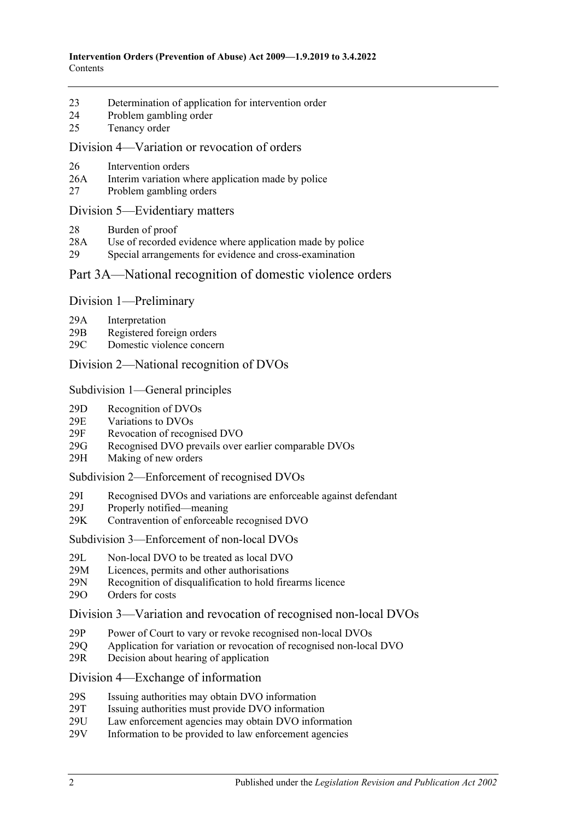- 23 [Determination of application for intervention order](#page-19-1)
- 24 [Problem gambling order](#page-21-0)
- 25 [Tenancy order](#page-22-0)

#### [Division 4—Variation or revocation of orders](#page-23-0)

- 26 [Intervention orders](#page-23-1)
- 26A [Interim variation where application made by police](#page-25-0)
- 27 [Problem gambling orders](#page-26-0)

#### [Division 5—Evidentiary matters](#page-26-1)

- 28 [Burden of proof](#page-26-2)
- 28A [Use of recorded evidence where application made by police](#page-26-3)
- 29 [Special arrangements for evidence and cross-examination](#page-27-0)

#### [Part 3A—National recognition of domestic violence orders](#page-28-0)

#### Division [1—Preliminary](#page-28-1)

- 29A [Interpretation](#page-28-2)
- 29B [Registered foreign orders](#page-29-0)
- 29C [Domestic violence concern](#page-30-0)

#### Division [2—National recognition of DVOs](#page-30-1)

#### Subdivision [1—General principles](#page-30-2)

- 29D [Recognition of DVOs](#page-30-3)
- 29E [Variations to DVOs](#page-31-0)
- 29F [Revocation of recognised DVO](#page-31-1)
- 29G [Recognised DVO prevails over earlier comparable DVOs](#page-31-2)
- 29H [Making of new orders](#page-32-0)

#### Subdivision [2—Enforcement of recognised DVOs](#page-32-1)

- 29I [Recognised DVOs and variations are enforceable against defendant](#page-32-2)<br>29J Properly notified—meaning
- [Properly notified—meaning](#page-33-0)
- 29K [Contravention of enforceable recognised DVO](#page-33-1)

#### Subdivision [3—Enforcement of non-local DVOs](#page-33-2)

- 29L Non-local DVO to [be treated as local DVO](#page-33-3)
- 29M [Licences, permits and other authorisations](#page-34-0)
- 29N [Recognition of disqualification to](#page-34-1) hold firearms licence
- 29O [Orders for costs](#page-34-2)

#### Division [3—Variation and revocation of recognised non-local DVOs](#page-35-0)

- 29P [Power of Court to vary or revoke recognised non-local DVOs](#page-35-1)
- 29Q [Application for variation or revocation of recognised non-local DVO](#page-35-2)
- 29R [Decision about hearing of application](#page-35-3)

### Division [4—Exchange of information](#page-36-0)

- 29S [Issuing authorities may obtain DVO information](#page-36-1)
- 29T [Issuing authorities must provide DVO information](#page-36-2)<br>29U Law enforcement agencies may obtain DVO inform
- [Law enforcement agencies may obtain DVO information](#page-37-0)
- 29V [Information to be provided to law enforcement agencies](#page-37-1)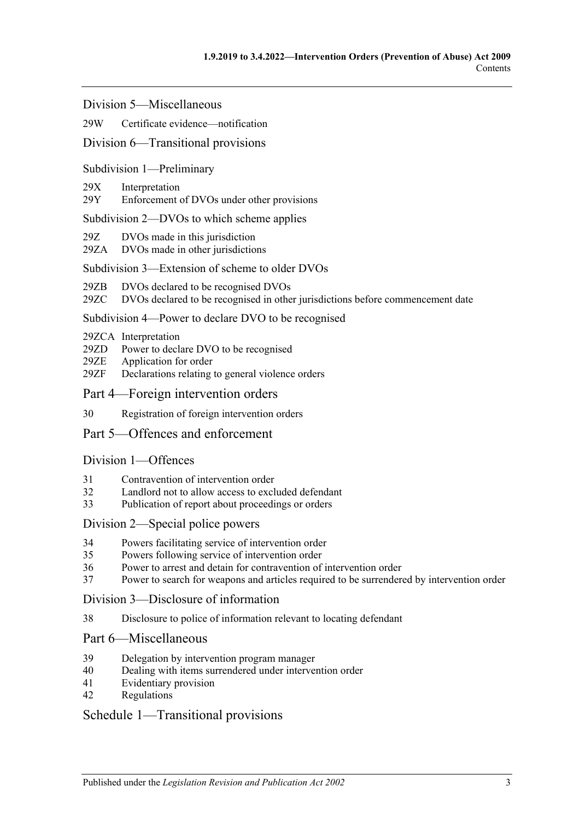Division [5—Miscellaneous](#page-37-2)

#### 29W [Certificate evidence—notification](#page-37-3)

#### Division [6—Transitional provisions](#page-38-0)

#### Subdivision [1—Preliminary](#page-38-1)

- 29X [Interpretation](#page-38-2)
- 29Y [Enforcement of DVOs under other provisions](#page-38-3)

#### Subdivision [2—DVOs to which scheme applies](#page-38-4)

- 29Z [DVOs made in this jurisdiction](#page-38-5)
- 29ZA [DVOs made in other jurisdictions](#page-38-6)

#### Subdivision [3—Extension of scheme to older DVOs](#page-39-0)

- 29ZB [DVOs declared to be recognised DVOs](#page-39-1)
- 29ZC [DVOs declared to be recognised in other jurisdictions before commencement date](#page-39-2)

#### Subdivision [4—Power to declare DVO to be recognised](#page-39-3)

- 29ZCA [Interpretation](#page-39-4)
- 29ZD [Power to declare DVO to be recognised](#page-39-5)
- 29ZE [Application for order](#page-40-0)
- 29ZF [Declarations relating to general violence orders](#page-40-1)
- [Part 4—Foreign intervention orders](#page-40-2)
- 30 [Registration of foreign intervention orders](#page-40-3)

### [Part 5—Offences and enforcement](#page-41-0)

#### [Division 1—Offences](#page-41-1)

- 31 [Contravention of intervention order](#page-41-2)
- 32 [Landlord not to allow access to excluded defendant](#page-42-0)
- 33 [Publication of report about proceedings or orders](#page-42-1)

#### [Division 2—Special police powers](#page-43-0)

- 34 [Powers facilitating service of intervention order](#page-43-1)
- 35 [Powers following service of intervention order](#page-44-0)
- 36 [Power to arrest and detain for contravention of intervention order](#page-44-1)
- 37 [Power to search for weapons and articles required to be surrendered by intervention order](#page-44-2)

[Division 3—Disclosure of information](#page-45-0)

38 [Disclosure to police of information relevant to locating defendant](#page-45-1)

## [Part 6—Miscellaneous](#page-45-2)

- 39 [Delegation by intervention program manager](#page-45-3)
- 40 [Dealing with items surrendered under intervention order](#page-45-4)
- 41 [Evidentiary provision](#page-45-5)
- 42 [Regulations](#page-45-6)

### [Schedule 1—Transitional provisions](#page-46-0)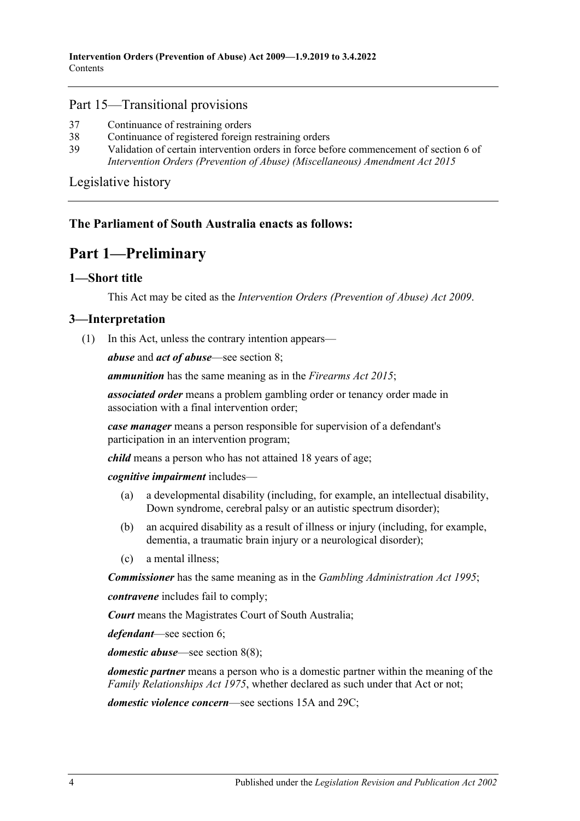#### Part 15—Transitional provisions

- 37 [Continuance of restraining orders](#page-46-1)
- 38 [Continuance of registered foreign restraining orders](#page-47-0)
- 39 [Validation of certain intervention orders in force before commencement of section](#page-47-1) 6 of *[Intervention Orders \(Prevention of Abuse\) \(Miscellaneous\) Amendment Act](#page-47-1) 2015*

[Legislative history](#page-48-0)

### <span id="page-3-0"></span>**The Parliament of South Australia enacts as follows:**

# **Part 1—Preliminary**

### <span id="page-3-1"></span>**1—Short title**

This Act may be cited as the *Intervention Orders (Prevention of Abuse) Act 2009*.

#### <span id="page-3-3"></span><span id="page-3-2"></span>**3—Interpretation**

(1) In this Act, unless the contrary intention appears—

*abuse* and *act of abuse*—see [section](#page-7-0) 8;

*ammunition* has the same meaning as in the *[Firearms Act](http://www.legislation.sa.gov.au/index.aspx?action=legref&type=act&legtitle=Firearms%20Act%202015) 2015*;

*associated order* means a problem gambling order or tenancy order made in association with a final intervention order;

*case manager* means a person responsible for supervision of a defendant's participation in an intervention program;

*child* means a person who has not attained 18 years of age;

*cognitive impairment* includes—

- (a) a developmental disability (including, for example, an intellectual disability, Down syndrome, cerebral palsy or an autistic spectrum disorder);
- (b) an acquired disability as a result of illness or injury (including, for example, dementia, a traumatic brain injury or a neurological disorder);
- (c) a mental illness;

*Commissioner* has the same meaning as in the *[Gambling Administration Act](http://www.legislation.sa.gov.au/index.aspx?action=legref&type=act&legtitle=Gambling%20Administration%20Act%201995) 1995*;

*contravene* includes fail to comply;

*Court* means the Magistrates Court of South Australia;

*defendant*—see [section](#page-6-4) 6;

*domestic abuse*—see [section](#page-9-0) 8(8);

*domestic partner* means a person who is a domestic partner within the meaning of the *[Family Relationships Act](http://www.legislation.sa.gov.au/index.aspx?action=legref&type=act&legtitle=Family%20Relationships%20Act%201975) 1975*, whether declared as such under that Act or not;

*domestic violence concern*—see [sections](#page-14-0) 15A and [29C;](#page-30-0)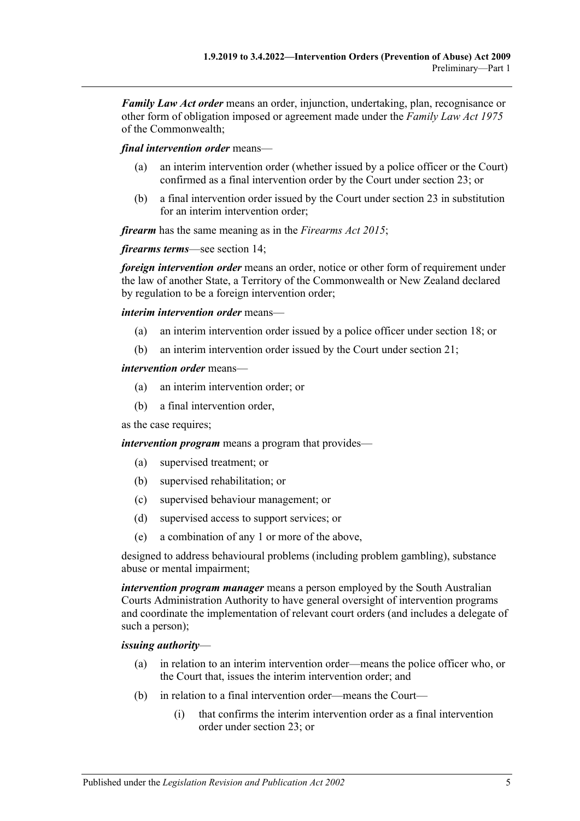*Family Law Act order* means an order, injunction, undertaking, plan, recognisance or other form of obligation imposed or agreement made under the *Family Law Act 1975* of the Commonwealth;

*final intervention order* means—

- (a) an interim intervention order (whether issued by a police officer or the Court) confirmed as a final intervention order by the Court under [section](#page-19-1) 23; or
- (b) a final intervention order issued by the Court under [section](#page-19-1) 23 in substitution for an interim intervention order;

*firearm* has the same meaning as in the *[Firearms Act](http://www.legislation.sa.gov.au/index.aspx?action=legref&type=act&legtitle=Firearms%20Act%202015) 2015*;

*firearms terms*—see [section](#page-13-0) 14;

*foreign intervention order* means an order, notice or other form of requirement under the law of another State, a Territory of the Commonwealth or New Zealand declared by regulation to be a foreign intervention order;

*interim intervention order* means—

- (a) an interim intervention order issued by a police officer under [section](#page-14-4) 18; or
- (b) an interim intervention order issued by the Court under [section](#page-17-0) 21;

#### *intervention order* means—

- (a) an interim intervention order; or
- (b) a final intervention order,

as the case requires;

*intervention program* means a program that provides—

- (a) supervised treatment; or
- (b) supervised rehabilitation; or
- (c) supervised behaviour management; or
- (d) supervised access to support services; or
- (e) a combination of any 1 or more of the above,

designed to address behavioural problems (including problem gambling), substance abuse or mental impairment;

*intervention program manager* means a person employed by the South Australian Courts Administration Authority to have general oversight of intervention programs and coordinate the implementation of relevant court orders (and includes a delegate of such a person);

#### *issuing authority*—

- (a) in relation to an interim intervention order—means the police officer who, or the Court that, issues the interim intervention order; and
- (b) in relation to a final intervention order—means the Court—
	- (i) that confirms the interim intervention order as a final intervention order under [section](#page-19-1) 23; or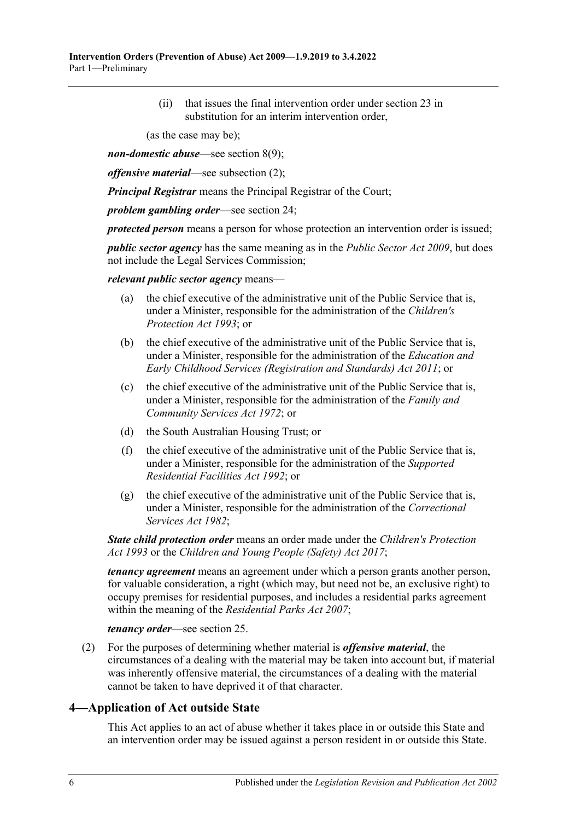(ii) that issues the final intervention order under [section](#page-19-1) 23 in substitution for an interim intervention order,

(as the case may be);

*non-domestic abuse*—see [section](#page-9-1) 8(9);

*offensive material*—see [subsection](#page-5-1) (2);

*Principal Registrar* means the Principal Registrar of the Court;

*problem gambling order*—see [section](#page-21-0) 24;

*protected person* means a person for whose protection an intervention order is issued;

*public sector agency* has the same meaning as in the *[Public Sector Act](http://www.legislation.sa.gov.au/index.aspx?action=legref&type=act&legtitle=Public%20Sector%20Act%202009) 2009*, but does not include the Legal Services Commission;

*relevant public sector agency* means—

- (a) the chief executive of the administrative unit of the Public Service that is, under a Minister, responsible for the administration of the *[Children's](http://www.legislation.sa.gov.au/index.aspx?action=legref&type=act&legtitle=Childrens%20Protection%20Act%201993)  [Protection Act](http://www.legislation.sa.gov.au/index.aspx?action=legref&type=act&legtitle=Childrens%20Protection%20Act%201993) 1993*; or
- (b) the chief executive of the administrative unit of the Public Service that is, under a Minister, responsible for the administration of the *[Education and](http://www.legislation.sa.gov.au/index.aspx?action=legref&type=act&legtitle=Education%20and%20Early%20Childhood%20Services%20(Registration%20and%20Standards)%20Act%202011)  [Early Childhood Services \(Registration and Standards\) Act](http://www.legislation.sa.gov.au/index.aspx?action=legref&type=act&legtitle=Education%20and%20Early%20Childhood%20Services%20(Registration%20and%20Standards)%20Act%202011) 2011*; or
- (c) the chief executive of the administrative unit of the Public Service that is, under a Minister, responsible for the administration of the *[Family and](http://www.legislation.sa.gov.au/index.aspx?action=legref&type=act&legtitle=Family%20and%20Community%20Services%20Act%201972)  [Community Services Act](http://www.legislation.sa.gov.au/index.aspx?action=legref&type=act&legtitle=Family%20and%20Community%20Services%20Act%201972) 1972*; or
- (d) the South Australian Housing Trust; or
- (f) the chief executive of the administrative unit of the Public Service that is, under a Minister, responsible for the administration of the *[Supported](http://www.legislation.sa.gov.au/index.aspx?action=legref&type=act&legtitle=Supported%20Residential%20Facilities%20Act%201992)  [Residential Facilities Act](http://www.legislation.sa.gov.au/index.aspx?action=legref&type=act&legtitle=Supported%20Residential%20Facilities%20Act%201992) 1992*; or
- (g) the chief executive of the administrative unit of the Public Service that is, under a Minister, responsible for the administration of the *[Correctional](http://www.legislation.sa.gov.au/index.aspx?action=legref&type=act&legtitle=Correctional%20Services%20Act%201982)  [Services Act](http://www.legislation.sa.gov.au/index.aspx?action=legref&type=act&legtitle=Correctional%20Services%20Act%201982) 1982*;

*State child protection order* means an order made under the *[Children's Protection](http://www.legislation.sa.gov.au/index.aspx?action=legref&type=act&legtitle=Childrens%20Protection%20Act%201993)  Act [1993](http://www.legislation.sa.gov.au/index.aspx?action=legref&type=act&legtitle=Childrens%20Protection%20Act%201993)* or the *[Children and Young People \(Safety\) Act](http://www.legislation.sa.gov.au/index.aspx?action=legref&type=act&legtitle=Children%20and%20Young%20People%20(Safety)%20Act%202017) 2017*;

*tenancy agreement* means an agreement under which a person grants another person, for valuable consideration, a right (which may, but need not be, an exclusive right) to occupy premises for residential purposes, and includes a residential parks agreement within the meaning of the *[Residential Parks Act](http://www.legislation.sa.gov.au/index.aspx?action=legref&type=act&legtitle=Residential%20Parks%20Act%202007) 2007*;

*tenancy order*—see [section](#page-22-0) 25.

<span id="page-5-1"></span>(2) For the purposes of determining whether material is *offensive material*, the circumstances of a dealing with the material may be taken into account but, if material was inherently offensive material, the circumstances of a dealing with the material cannot be taken to have deprived it of that character.

### <span id="page-5-0"></span>**4—Application of Act outside State**

This Act applies to an act of abuse whether it takes place in or outside this State and an intervention order may be issued against a person resident in or outside this State.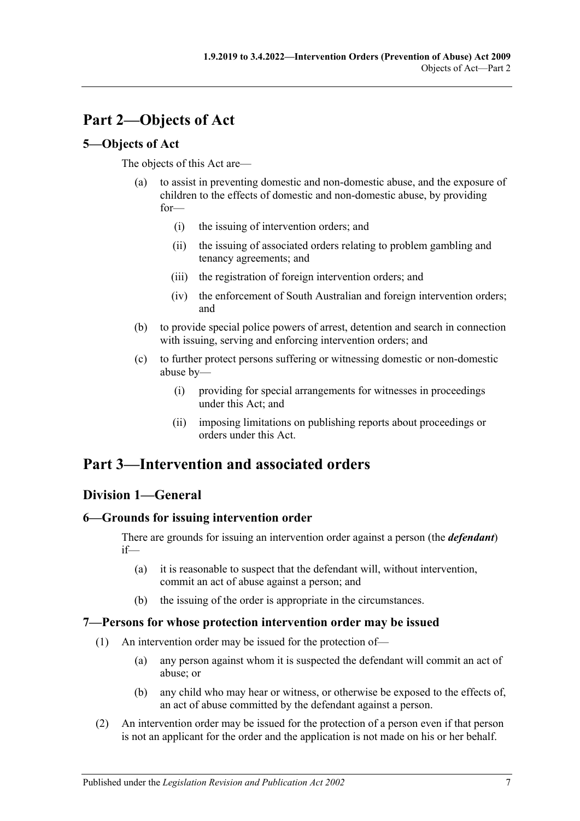# <span id="page-6-0"></span>**Part 2—Objects of Act**

# <span id="page-6-1"></span>**5—Objects of Act**

The objects of this Act are—

- (a) to assist in preventing domestic and non-domestic abuse, and the exposure of children to the effects of domestic and non-domestic abuse, by providing for—
	- (i) the issuing of intervention orders; and
	- (ii) the issuing of associated orders relating to problem gambling and tenancy agreements; and
	- (iii) the registration of foreign intervention orders; and
	- (iv) the enforcement of South Australian and foreign intervention orders; and
- (b) to provide special police powers of arrest, detention and search in connection with issuing, serving and enforcing intervention orders; and
- (c) to further protect persons suffering or witnessing domestic or non-domestic abuse by—
	- (i) providing for special arrangements for witnesses in proceedings under this Act; and
	- (ii) imposing limitations on publishing reports about proceedings or orders under this Act.

# <span id="page-6-2"></span>**Part 3—Intervention and associated orders**

# <span id="page-6-3"></span>**Division 1—General**

# <span id="page-6-4"></span>**6—Grounds for issuing intervention order**

There are grounds for issuing an intervention order against a person (the *defendant*) if—

- (a) it is reasonable to suspect that the defendant will, without intervention, commit an act of abuse against a person; and
- (b) the issuing of the order is appropriate in the circumstances.

### <span id="page-6-5"></span>**7—Persons for whose protection intervention order may be issued**

- (1) An intervention order may be issued for the protection of—
	- (a) any person against whom it is suspected the defendant will commit an act of abuse; or
	- (b) any child who may hear or witness, or otherwise be exposed to the effects of, an act of abuse committed by the defendant against a person.
- (2) An intervention order may be issued for the protection of a person even if that person is not an applicant for the order and the application is not made on his or her behalf.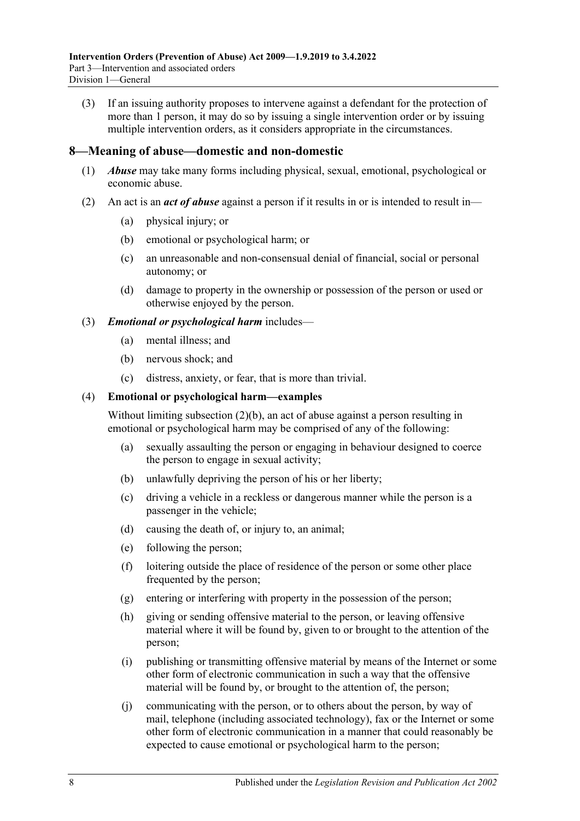(3) If an issuing authority proposes to intervene against a defendant for the protection of more than 1 person, it may do so by issuing a single intervention order or by issuing multiple intervention orders, as it considers appropriate in the circumstances.

#### <span id="page-7-0"></span>**8—Meaning of abuse—domestic and non-domestic**

- (1) *Abuse* may take many forms including physical, sexual, emotional, psychological or economic abuse.
- <span id="page-7-2"></span><span id="page-7-1"></span>(2) An act is an *act of abuse* against a person if it results in or is intended to result in—
	- (a) physical injury; or
	- (b) emotional or psychological harm; or
	- (c) an unreasonable and non-consensual denial of financial, social or personal autonomy; or
	- (d) damage to property in the ownership or possession of the person or used or otherwise enjoyed by the person.

#### (3) *Emotional or psychological harm* includes—

- (a) mental illness; and
- (b) nervous shock; and
- (c) distress, anxiety, or fear, that is more than trivial.

#### (4) **Emotional or psychological harm—examples**

Without limiting [subsection](#page-7-1) (2)(b), an act of abuse against a person resulting in emotional or psychological harm may be comprised of any of the following:

- (a) sexually assaulting the person or engaging in behaviour designed to coerce the person to engage in sexual activity;
- (b) unlawfully depriving the person of his or her liberty;
- (c) driving a vehicle in a reckless or dangerous manner while the person is a passenger in the vehicle;
- (d) causing the death of, or injury to, an animal;
- (e) following the person;
- (f) loitering outside the place of residence of the person or some other place frequented by the person;
- (g) entering or interfering with property in the possession of the person;
- (h) giving or sending offensive material to the person, or leaving offensive material where it will be found by, given to or brought to the attention of the person;
- (i) publishing or transmitting offensive material by means of the Internet or some other form of electronic communication in such a way that the offensive material will be found by, or brought to the attention of, the person;
- (j) communicating with the person, or to others about the person, by way of mail, telephone (including associated technology), fax or the Internet or some other form of electronic communication in a manner that could reasonably be expected to cause emotional or psychological harm to the person;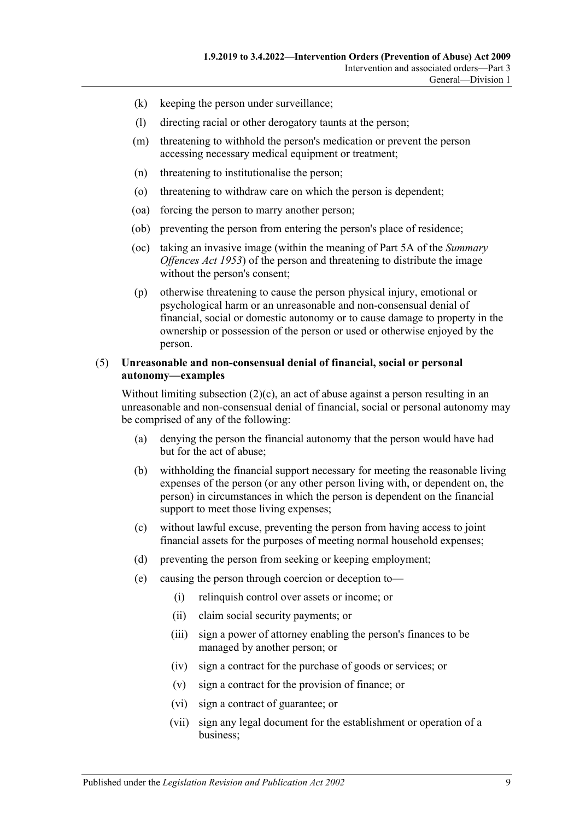- (k) keeping the person under surveillance;
- (l) directing racial or other derogatory taunts at the person;
- (m) threatening to withhold the person's medication or prevent the person accessing necessary medical equipment or treatment;
- (n) threatening to institutionalise the person;
- (o) threatening to withdraw care on which the person is dependent;
- (oa) forcing the person to marry another person;
- (ob) preventing the person from entering the person's place of residence;
- (oc) taking an invasive image (within the meaning of Part 5A of the *[Summary](http://www.legislation.sa.gov.au/index.aspx?action=legref&type=act&legtitle=Summary%20Offences%20Act%201953)  [Offences Act](http://www.legislation.sa.gov.au/index.aspx?action=legref&type=act&legtitle=Summary%20Offences%20Act%201953) 1953*) of the person and threatening to distribute the image without the person's consent;
- (p) otherwise threatening to cause the person physical injury, emotional or psychological harm or an unreasonable and non-consensual denial of financial, social or domestic autonomy or to cause damage to property in the ownership or possession of the person or used or otherwise enjoyed by the person.

#### (5) **Unreasonable and non-consensual denial of financial, social or personal autonomy—examples**

Without limiting [subsection](#page-7-2) (2)(c), an act of abuse against a person resulting in an unreasonable and non-consensual denial of financial, social or personal autonomy may be comprised of any of the following:

- (a) denying the person the financial autonomy that the person would have had but for the act of abuse;
- (b) withholding the financial support necessary for meeting the reasonable living expenses of the person (or any other person living with, or dependent on, the person) in circumstances in which the person is dependent on the financial support to meet those living expenses:
- (c) without lawful excuse, preventing the person from having access to joint financial assets for the purposes of meeting normal household expenses;
- (d) preventing the person from seeking or keeping employment;
- (e) causing the person through coercion or deception to—
	- (i) relinquish control over assets or income; or
	- (ii) claim social security payments; or
	- (iii) sign a power of attorney enabling the person's finances to be managed by another person; or
	- (iv) sign a contract for the purchase of goods or services; or
	- (v) sign a contract for the provision of finance; or
	- (vi) sign a contract of guarantee; or
	- (vii) sign any legal document for the establishment or operation of a business;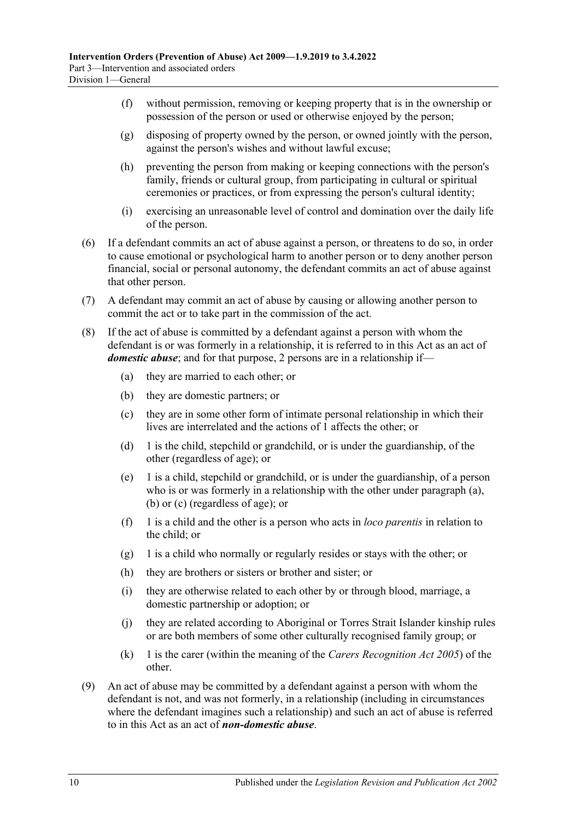- (f) without permission, removing or keeping property that is in the ownership or possession of the person or used or otherwise enjoyed by the person;
- (g) disposing of property owned by the person, or owned jointly with the person, against the person's wishes and without lawful excuse;
- (h) preventing the person from making or keeping connections with the person's family, friends or cultural group, from participating in cultural or spiritual ceremonies or practices, or from expressing the person's cultural identity;
- (i) exercising an unreasonable level of control and domination over the daily life of the person.
- (6) If a defendant commits an act of abuse against a person, or threatens to do so, in order to cause emotional or psychological harm to another person or to deny another person financial, social or personal autonomy, the defendant commits an act of abuse against that other person.
- (7) A defendant may commit an act of abuse by causing or allowing another person to commit the act or to take part in the commission of the act.
- <span id="page-9-4"></span><span id="page-9-3"></span><span id="page-9-2"></span><span id="page-9-0"></span>(8) If the act of abuse is committed by a defendant against a person with whom the defendant is or was formerly in a relationship, it is referred to in this Act as an act of *domestic abuse*; and for that purpose, 2 persons are in a relationship if—
	- (a) they are married to each other; or
	- (b) they are domestic partners; or
	- (c) they are in some other form of intimate personal relationship in which their lives are interrelated and the actions of 1 affects the other; or
	- (d) 1 is the child, stepchild or grandchild, or is under the guardianship, of the other (regardless of age); or
	- (e) 1 is a child, stepchild or grandchild, or is under the guardianship, of a person who is or was formerly in a relationship with the other under [paragraph](#page-9-2) (a), [\(b\)](#page-9-3) or [\(c\)](#page-9-4) (regardless of age); or
	- (f) 1 is a child and the other is a person who acts in *loco parentis* in relation to the child; or
	- (g) 1 is a child who normally or regularly resides or stays with the other; or
	- (h) they are brothers or sisters or brother and sister; or
	- (i) they are otherwise related to each other by or through blood, marriage, a domestic partnership or adoption; or
	- (j) they are related according to Aboriginal or Torres Strait Islander kinship rules or are both members of some other culturally recognised family group; or
	- (k) 1 is the carer (within the meaning of the *[Carers Recognition Act](http://www.legislation.sa.gov.au/index.aspx?action=legref&type=act&legtitle=Carers%20Recognition%20Act%202005) 2005*) of the other.
- <span id="page-9-1"></span>(9) An act of abuse may be committed by a defendant against a person with whom the defendant is not, and was not formerly, in a relationship (including in circumstances where the defendant imagines such a relationship) and such an act of abuse is referred to in this Act as an act of *non-domestic abuse*.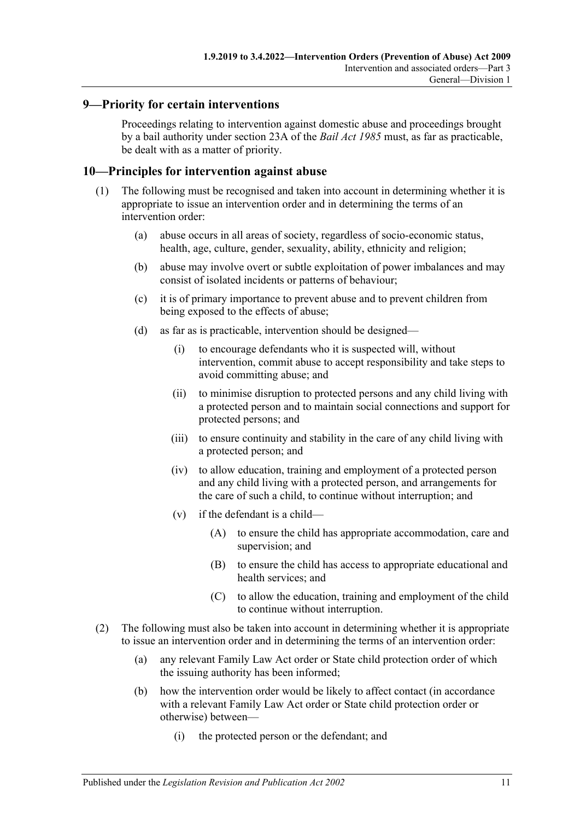## <span id="page-10-0"></span>**9—Priority for certain interventions**

Proceedings relating to intervention against domestic abuse and proceedings brought by a bail authority under section 23A of the *[Bail Act](http://www.legislation.sa.gov.au/index.aspx?action=legref&type=act&legtitle=Bail%20Act%201985) 1985* must, as far as practicable, be dealt with as a matter of priority.

### <span id="page-10-1"></span>**10—Principles for intervention against abuse**

- (1) The following must be recognised and taken into account in determining whether it is appropriate to issue an intervention order and in determining the terms of an intervention order:
	- (a) abuse occurs in all areas of society, regardless of socio-economic status, health, age, culture, gender, sexuality, ability, ethnicity and religion;
	- (b) abuse may involve overt or subtle exploitation of power imbalances and may consist of isolated incidents or patterns of behaviour;
	- (c) it is of primary importance to prevent abuse and to prevent children from being exposed to the effects of abuse;
	- (d) as far as is practicable, intervention should be designed—
		- (i) to encourage defendants who it is suspected will, without intervention, commit abuse to accept responsibility and take steps to avoid committing abuse; and
		- (ii) to minimise disruption to protected persons and any child living with a protected person and to maintain social connections and support for protected persons; and
		- (iii) to ensure continuity and stability in the care of any child living with a protected person; and
		- (iv) to allow education, training and employment of a protected person and any child living with a protected person, and arrangements for the care of such a child, to continue without interruption; and
		- (v) if the defendant is a child—
			- (A) to ensure the child has appropriate accommodation, care and supervision; and
			- (B) to ensure the child has access to appropriate educational and health services; and
			- (C) to allow the education, training and employment of the child to continue without interruption.
- (2) The following must also be taken into account in determining whether it is appropriate to issue an intervention order and in determining the terms of an intervention order:
	- (a) any relevant Family Law Act order or State child protection order of which the issuing authority has been informed;
	- (b) how the intervention order would be likely to affect contact (in accordance with a relevant Family Law Act order or State child protection order or otherwise) between—
		- (i) the protected person or the defendant; and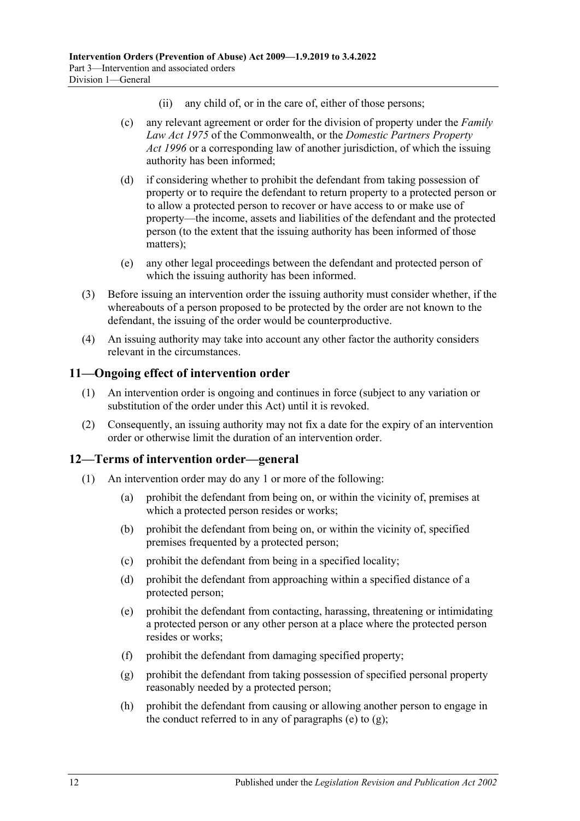- (ii) any child of, or in the care of, either of those persons;
- (c) any relevant agreement or order for the division of property under the *Family Law Act 1975* of the Commonwealth, or the *[Domestic Partners Property](http://www.legislation.sa.gov.au/index.aspx?action=legref&type=act&legtitle=Domestic%20Partners%20Property%20Act%201996)  Act [1996](http://www.legislation.sa.gov.au/index.aspx?action=legref&type=act&legtitle=Domestic%20Partners%20Property%20Act%201996)* or a corresponding law of another jurisdiction, of which the issuing authority has been informed;
- (d) if considering whether to prohibit the defendant from taking possession of property or to require the defendant to return property to a protected person or to allow a protected person to recover or have access to or make use of property—the income, assets and liabilities of the defendant and the protected person (to the extent that the issuing authority has been informed of those matters);
- (e) any other legal proceedings between the defendant and protected person of which the issuing authority has been informed.
- (3) Before issuing an intervention order the issuing authority must consider whether, if the whereabouts of a person proposed to be protected by the order are not known to the defendant, the issuing of the order would be counterproductive.
- (4) An issuing authority may take into account any other factor the authority considers relevant in the circumstances.

### <span id="page-11-0"></span>**11—Ongoing effect of intervention order**

- (1) An intervention order is ongoing and continues in force (subject to any variation or substitution of the order under this Act) until it is revoked.
- (2) Consequently, an issuing authority may not fix a date for the expiry of an intervention order or otherwise limit the duration of an intervention order.

# <span id="page-11-1"></span>**12—Terms of intervention order—general**

- <span id="page-11-3"></span><span id="page-11-2"></span>(1) An intervention order may do any 1 or more of the following:
	- (a) prohibit the defendant from being on, or within the vicinity of, premises at which a protected person resides or works;
	- (b) prohibit the defendant from being on, or within the vicinity of, specified premises frequented by a protected person;
	- (c) prohibit the defendant from being in a specified locality;
	- (d) prohibit the defendant from approaching within a specified distance of a protected person;
	- (e) prohibit the defendant from contacting, harassing, threatening or intimidating a protected person or any other person at a place where the protected person resides or works;
	- (f) prohibit the defendant from damaging specified property;
	- (g) prohibit the defendant from taking possession of specified personal property reasonably needed by a protected person;
	- (h) prohibit the defendant from causing or allowing another person to engage in the conduct referred to in any of [paragraphs](#page-11-2) (e) to  $(g)$ ;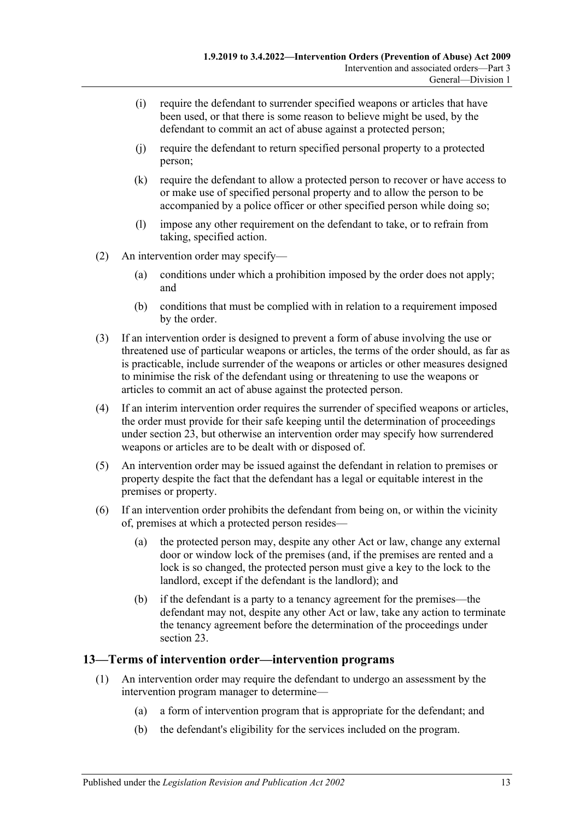- (i) require the defendant to surrender specified weapons or articles that have been used, or that there is some reason to believe might be used, by the defendant to commit an act of abuse against a protected person;
- (j) require the defendant to return specified personal property to a protected person;
- (k) require the defendant to allow a protected person to recover or have access to or make use of specified personal property and to allow the person to be accompanied by a police officer or other specified person while doing so;
- (l) impose any other requirement on the defendant to take, or to refrain from taking, specified action.
- (2) An intervention order may specify—
	- (a) conditions under which a prohibition imposed by the order does not apply; and
	- (b) conditions that must be complied with in relation to a requirement imposed by the order.
- (3) If an intervention order is designed to prevent a form of abuse involving the use or threatened use of particular weapons or articles, the terms of the order should, as far as is practicable, include surrender of the weapons or articles or other measures designed to minimise the risk of the defendant using or threatening to use the weapons or articles to commit an act of abuse against the protected person.
- (4) If an interim intervention order requires the surrender of specified weapons or articles, the order must provide for their safe keeping until the determination of proceedings under [section](#page-19-1) 23, but otherwise an intervention order may specify how surrendered weapons or articles are to be dealt with or disposed of.
- (5) An intervention order may be issued against the defendant in relation to premises or property despite the fact that the defendant has a legal or equitable interest in the premises or property.
- (6) If an intervention order prohibits the defendant from being on, or within the vicinity of, premises at which a protected person resides—
	- (a) the protected person may, despite any other Act or law, change any external door or window lock of the premises (and, if the premises are rented and a lock is so changed, the protected person must give a key to the lock to the landlord, except if the defendant is the landlord); and
	- (b) if the defendant is a party to a tenancy agreement for the premises—the defendant may not, despite any other Act or law, take any action to terminate the tenancy agreement before the determination of the proceedings under [section](#page-19-1) 23.

### <span id="page-12-0"></span>**13—Terms of intervention order—intervention programs**

- (1) An intervention order may require the defendant to undergo an assessment by the intervention program manager to determine—
	- (a) a form of intervention program that is appropriate for the defendant; and
	- (b) the defendant's eligibility for the services included on the program.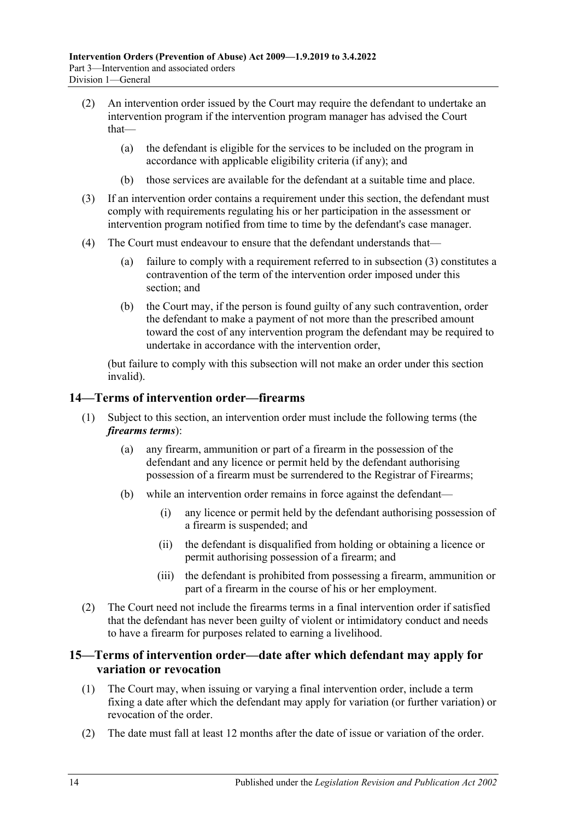- (2) An intervention order issued by the Court may require the defendant to undertake an intervention program if the intervention program manager has advised the Court that—
	- (a) the defendant is eligible for the services to be included on the program in accordance with applicable eligibility criteria (if any); and
	- (b) those services are available for the defendant at a suitable time and place.
- <span id="page-13-2"></span>(3) If an intervention order contains a requirement under this section, the defendant must comply with requirements regulating his or her participation in the assessment or intervention program notified from time to time by the defendant's case manager.
- (4) The Court must endeavour to ensure that the defendant understands that—
	- (a) failure to comply with a requirement referred to in [subsection](#page-13-2) (3) constitutes a contravention of the term of the intervention order imposed under this section; and
	- (b) the Court may, if the person is found guilty of any such contravention, order the defendant to make a payment of not more than the prescribed amount toward the cost of any intervention program the defendant may be required to undertake in accordance with the intervention order,

(but failure to comply with this subsection will not make an order under this section invalid).

#### <span id="page-13-0"></span>**14—Terms of intervention order—firearms**

- (1) Subject to this section, an intervention order must include the following terms (the *firearms terms*):
	- (a) any firearm, ammunition or part of a firearm in the possession of the defendant and any licence or permit held by the defendant authorising possession of a firearm must be surrendered to the Registrar of Firearms;
	- (b) while an intervention order remains in force against the defendant—
		- (i) any licence or permit held by the defendant authorising possession of a firearm is suspended; and
		- (ii) the defendant is disqualified from holding or obtaining a licence or permit authorising possession of a firearm; and
		- (iii) the defendant is prohibited from possessing a firearm, ammunition or part of a firearm in the course of his or her employment.
- (2) The Court need not include the firearms terms in a final intervention order if satisfied that the defendant has never been guilty of violent or intimidatory conduct and needs to have a firearm for purposes related to earning a livelihood.

### <span id="page-13-1"></span>**15—Terms of intervention order—date after which defendant may apply for variation or revocation**

- <span id="page-13-3"></span>(1) The Court may, when issuing or varying a final intervention order, include a term fixing a date after which the defendant may apply for variation (or further variation) or revocation of the order.
- (2) The date must fall at least 12 months after the date of issue or variation of the order.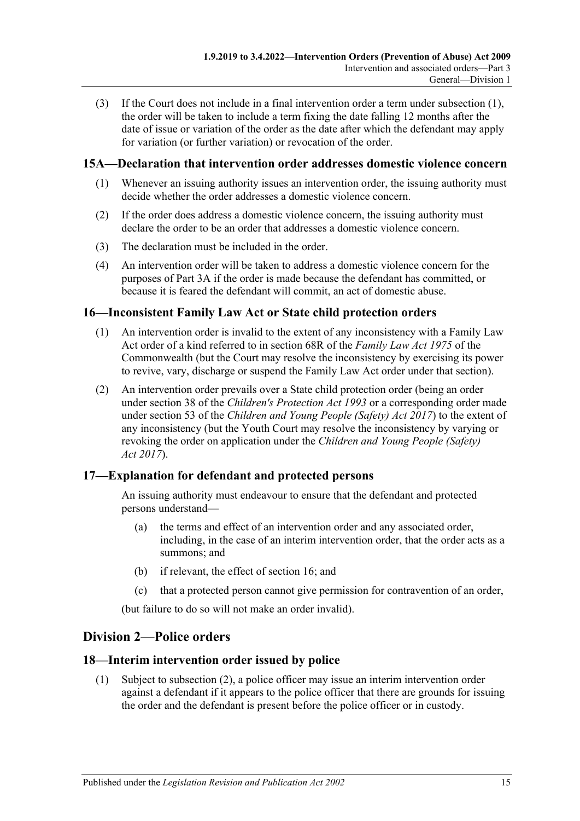(3) If the Court does not include in a final intervention order a term under [subsection](#page-13-3) (1), the order will be taken to include a term fixing the date falling 12 months after the date of issue or variation of the order as the date after which the defendant may apply for variation (or further variation) or revocation of the order.

## <span id="page-14-0"></span>**15A—Declaration that intervention order addresses domestic violence concern**

- (1) Whenever an issuing authority issues an intervention order, the issuing authority must decide whether the order addresses a domestic violence concern.
- (2) If the order does address a domestic violence concern, the issuing authority must declare the order to be an order that addresses a domestic violence concern.
- (3) The declaration must be included in the order.
- (4) An intervention order will be taken to address a domestic violence concern for the purposes of [Part 3A](#page-28-0) if the order is made because the defendant has committed, or because it is feared the defendant will commit, an act of domestic abuse.

## <span id="page-14-1"></span>**16—Inconsistent Family Law Act or State child protection orders**

- (1) An intervention order is invalid to the extent of any inconsistency with a Family Law Act order of a kind referred to in section 68R of the *Family Law Act 1975* of the Commonwealth (but the Court may resolve the inconsistency by exercising its power to revive, vary, discharge or suspend the Family Law Act order under that section).
- (2) An intervention order prevails over a State child protection order (being an order under section 38 of the *[Children's Protection Act](http://www.legislation.sa.gov.au/index.aspx?action=legref&type=act&legtitle=Childrens%20Protection%20Act%201993) 1993* or a corresponding order made under section 53 of the *[Children and Young People \(Safety\) Act](http://www.legislation.sa.gov.au/index.aspx?action=legref&type=act&legtitle=Children%20and%20Young%20People%20(Safety)%20Act%202017) 2017*) to the extent of any inconsistency (but the Youth Court may resolve the inconsistency by varying or revoking the order on application under the *[Children and Young](http://www.legislation.sa.gov.au/index.aspx?action=legref&type=act&legtitle=Children%20and%20Young%20People%20(Safety)%20Act%202017) People (Safety) Act [2017](http://www.legislation.sa.gov.au/index.aspx?action=legref&type=act&legtitle=Children%20and%20Young%20People%20(Safety)%20Act%202017)*).

# <span id="page-14-2"></span>**17—Explanation for defendant and protected persons**

An issuing authority must endeavour to ensure that the defendant and protected persons understand—

- (a) the terms and effect of an intervention order and any associated order, including, in the case of an interim intervention order, that the order acts as a summons; and
- (b) if relevant, the effect of [section](#page-14-1) 16; and
- (c) that a protected person cannot give permission for contravention of an order,

(but failure to do so will not make an order invalid).

# <span id="page-14-3"></span>**Division 2—Police orders**

## <span id="page-14-4"></span>**18—Interim intervention order issued by police**

(1) Subject to [subsection](#page-15-0) (2), a police officer may issue an interim intervention order against a defendant if it appears to the police officer that there are grounds for issuing the order and the defendant is present before the police officer or in custody.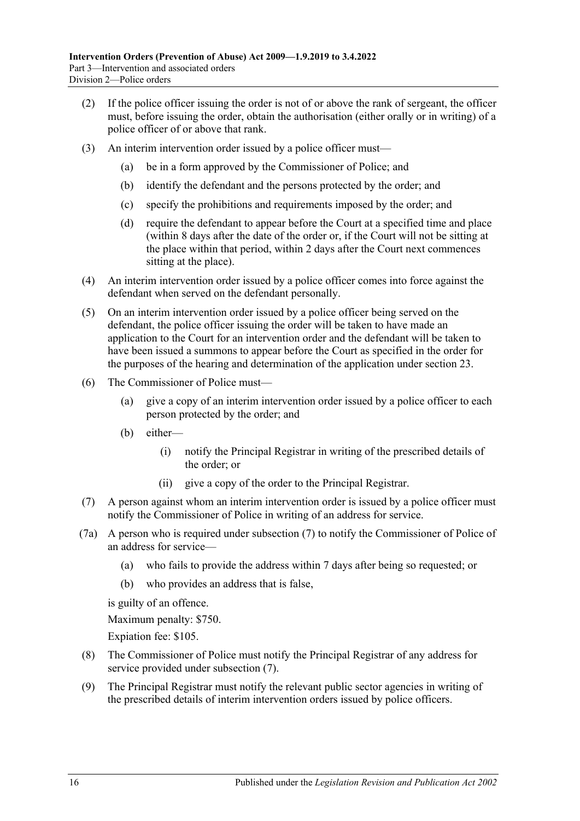- <span id="page-15-0"></span>(2) If the police officer issuing the order is not of or above the rank of sergeant, the officer must, before issuing the order, obtain the authorisation (either orally or in writing) of a police officer of or above that rank.
- (3) An interim intervention order issued by a police officer must—
	- (a) be in a form approved by the Commissioner of Police; and
	- (b) identify the defendant and the persons protected by the order; and
	- (c) specify the prohibitions and requirements imposed by the order; and
	- (d) require the defendant to appear before the Court at a specified time and place (within 8 days after the date of the order or, if the Court will not be sitting at the place within that period, within 2 days after the Court next commences sitting at the place).
- (4) An interim intervention order issued by a police officer comes into force against the defendant when served on the defendant personally.
- (5) On an interim intervention order issued by a police officer being served on the defendant, the police officer issuing the order will be taken to have made an application to the Court for an intervention order and the defendant will be taken to have been issued a summons to appear before the Court as specified in the order for the purposes of the hearing and determination of the application under [section](#page-19-1) 23.
- (6) The Commissioner of Police must—
	- (a) give a copy of an interim intervention order issued by a police officer to each person protected by the order; and
	- (b) either—
		- (i) notify the Principal Registrar in writing of the prescribed details of the order; or
		- (ii) give a copy of the order to the Principal Registrar.
- <span id="page-15-1"></span>(7) A person against whom an interim intervention order is issued by a police officer must notify the Commissioner of Police in writing of an address for service.
- (7a) A person who is required under [subsection](#page-15-1) (7) to notify the Commissioner of Police of an address for service—
	- (a) who fails to provide the address within 7 days after being so requested; or
	- (b) who provides an address that is false,

is guilty of an offence.

Maximum penalty: \$750.

Expiation fee: \$105.

- (8) The Commissioner of Police must notify the Principal Registrar of any address for service provided under [subsection](#page-15-1) (7).
- (9) The Principal Registrar must notify the relevant public sector agencies in writing of the prescribed details of interim intervention orders issued by police officers.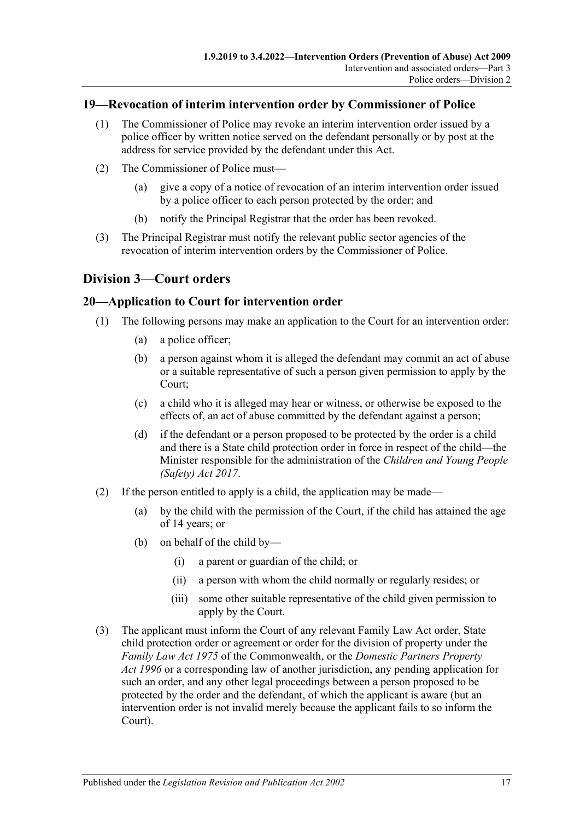### <span id="page-16-0"></span>**19—Revocation of interim intervention order by Commissioner of Police**

- (1) The Commissioner of Police may revoke an interim intervention order issued by a police officer by written notice served on the defendant personally or by post at the address for service provided by the defendant under this Act.
- (2) The Commissioner of Police must—
	- (a) give a copy of a notice of revocation of an interim intervention order issued by a police officer to each person protected by the order; and
	- (b) notify the Principal Registrar that the order has been revoked.
- (3) The Principal Registrar must notify the relevant public sector agencies of the revocation of interim intervention orders by the Commissioner of Police.

## <span id="page-16-1"></span>**Division 3—Court orders**

#### <span id="page-16-2"></span>**20—Application to Court for intervention order**

- (1) The following persons may make an application to the Court for an intervention order:
	- (a) a police officer;
	- (b) a person against whom it is alleged the defendant may commit an act of abuse or a suitable representative of such a person given permission to apply by the Court;
	- (c) a child who it is alleged may hear or witness, or otherwise be exposed to the effects of, an act of abuse committed by the defendant against a person;
	- (d) if the defendant or a person proposed to be protected by the order is a child and there is a State child protection order in force in respect of the child—the Minister responsible for the administration of the *[Children and Young People](http://www.legislation.sa.gov.au/index.aspx?action=legref&type=act&legtitle=Children%20and%20Young%20People%20(Safety)%20Act%202017)  [\(Safety\) Act](http://www.legislation.sa.gov.au/index.aspx?action=legref&type=act&legtitle=Children%20and%20Young%20People%20(Safety)%20Act%202017) 2017*.
- (2) If the person entitled to apply is a child, the application may be made—
	- (a) by the child with the permission of the Court, if the child has attained the age of 14 years; or
	- (b) on behalf of the child by—
		- (i) a parent or guardian of the child; or
		- (ii) a person with whom the child normally or regularly resides; or
		- (iii) some other suitable representative of the child given permission to apply by the Court.
- (3) The applicant must inform the Court of any relevant Family Law Act order, State child protection order or agreement or order for the division of property under the *Family Law Act 1975* of the Commonwealth, or the *[Domestic Partners Property](http://www.legislation.sa.gov.au/index.aspx?action=legref&type=act&legtitle=Domestic%20Partners%20Property%20Act%201996)  Act [1996](http://www.legislation.sa.gov.au/index.aspx?action=legref&type=act&legtitle=Domestic%20Partners%20Property%20Act%201996)* or a corresponding law of another jurisdiction, any pending application for such an order, and any other legal proceedings between a person proposed to be protected by the order and the defendant, of which the applicant is aware (but an intervention order is not invalid merely because the applicant fails to so inform the Court).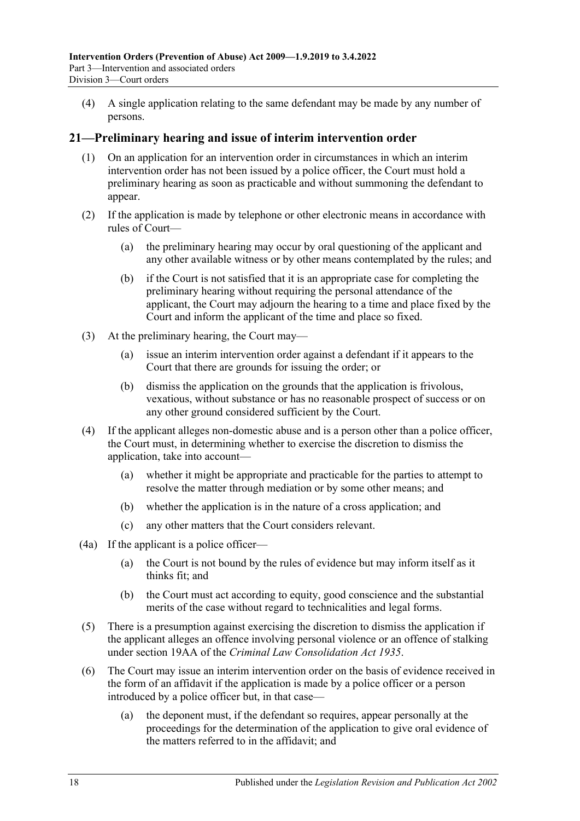(4) A single application relating to the same defendant may be made by any number of persons.

### <span id="page-17-0"></span>**21—Preliminary hearing and issue of interim intervention order**

- (1) On an application for an intervention order in circumstances in which an interim intervention order has not been issued by a police officer, the Court must hold a preliminary hearing as soon as practicable and without summoning the defendant to appear.
- (2) If the application is made by telephone or other electronic means in accordance with rules of Court—
	- (a) the preliminary hearing may occur by oral questioning of the applicant and any other available witness or by other means contemplated by the rules; and
	- (b) if the Court is not satisfied that it is an appropriate case for completing the preliminary hearing without requiring the personal attendance of the applicant, the Court may adjourn the hearing to a time and place fixed by the Court and inform the applicant of the time and place so fixed.
- (3) At the preliminary hearing, the Court may—
	- (a) issue an interim intervention order against a defendant if it appears to the Court that there are grounds for issuing the order; or
	- (b) dismiss the application on the grounds that the application is frivolous, vexatious, without substance or has no reasonable prospect of success or on any other ground considered sufficient by the Court.
- (4) If the applicant alleges non-domestic abuse and is a person other than a police officer, the Court must, in determining whether to exercise the discretion to dismiss the application, take into account—
	- (a) whether it might be appropriate and practicable for the parties to attempt to resolve the matter through mediation or by some other means; and
	- (b) whether the application is in the nature of a cross application; and
	- (c) any other matters that the Court considers relevant.
- (4a) If the applicant is a police officer—
	- (a) the Court is not bound by the rules of evidence but may inform itself as it thinks fit; and
	- (b) the Court must act according to equity, good conscience and the substantial merits of the case without regard to technicalities and legal forms.
- (5) There is a presumption against exercising the discretion to dismiss the application if the applicant alleges an offence involving personal violence or an offence of stalking under section 19AA of the *[Criminal Law Consolidation Act](http://www.legislation.sa.gov.au/index.aspx?action=legref&type=act&legtitle=Criminal%20Law%20Consolidation%20Act%201935) 1935*.
- (6) The Court may issue an interim intervention order on the basis of evidence received in the form of an affidavit if the application is made by a police officer or a person introduced by a police officer but, in that case—
	- (a) the deponent must, if the defendant so requires, appear personally at the proceedings for the determination of the application to give oral evidence of the matters referred to in the affidavit; and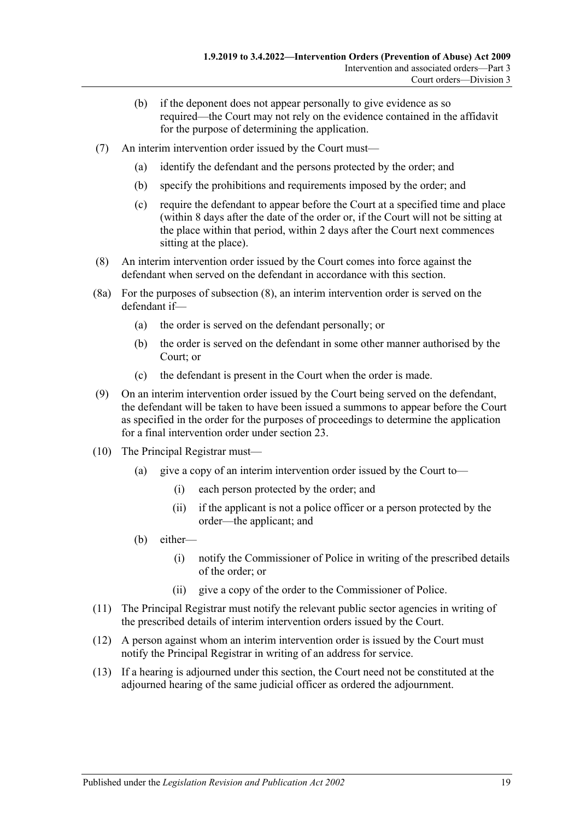- (b) if the deponent does not appear personally to give evidence as so required—the Court may not rely on the evidence contained in the affidavit for the purpose of determining the application.
- (7) An interim intervention order issued by the Court must—
	- (a) identify the defendant and the persons protected by the order; and
	- (b) specify the prohibitions and requirements imposed by the order; and
	- (c) require the defendant to appear before the Court at a specified time and place (within 8 days after the date of the order or, if the Court will not be sitting at the place within that period, within 2 days after the Court next commences sitting at the place).
- <span id="page-18-0"></span>(8) An interim intervention order issued by the Court comes into force against the defendant when served on the defendant in accordance with this section.
- (8a) For the purposes of [subsection](#page-18-0) (8), an interim intervention order is served on the defendant if—
	- (a) the order is served on the defendant personally; or
	- (b) the order is served on the defendant in some other manner authorised by the Court; or
	- (c) the defendant is present in the Court when the order is made.
- (9) On an interim intervention order issued by the Court being served on the defendant, the defendant will be taken to have been issued a summons to appear before the Court as specified in the order for the purposes of proceedings to determine the application for a final intervention order under [section](#page-19-1) 23.
- (10) The Principal Registrar must—
	- (a) give a copy of an interim intervention order issued by the Court to—
		- (i) each person protected by the order; and
		- (ii) if the applicant is not a police officer or a person protected by the order—the applicant; and
	- (b) either—
		- (i) notify the Commissioner of Police in writing of the prescribed details of the order; or
		- (ii) give a copy of the order to the Commissioner of Police.
- (11) The Principal Registrar must notify the relevant public sector agencies in writing of the prescribed details of interim intervention orders issued by the Court.
- (12) A person against whom an interim intervention order is issued by the Court must notify the Principal Registrar in writing of an address for service.
- (13) If a hearing is adjourned under this section, the Court need not be constituted at the adjourned hearing of the same judicial officer as ordered the adjournment.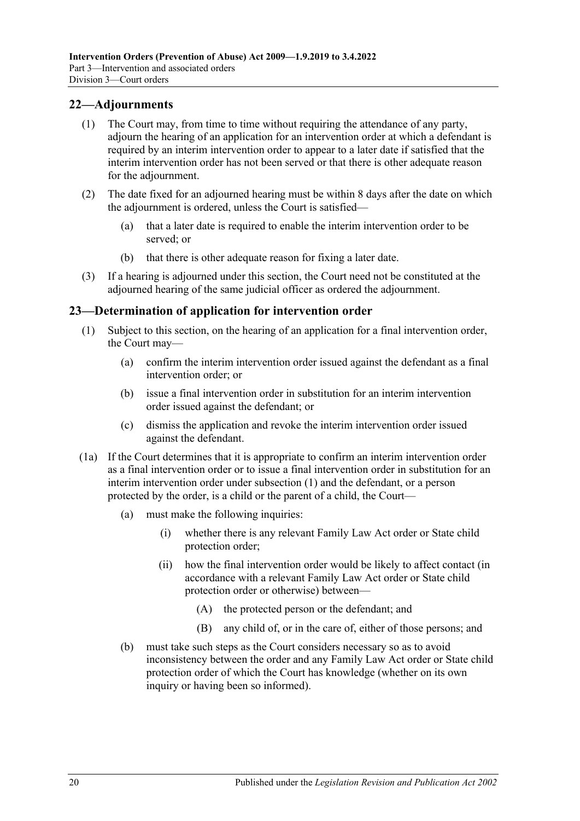## <span id="page-19-0"></span>**22—Adjournments**

- (1) The Court may, from time to time without requiring the attendance of any party, adjourn the hearing of an application for an intervention order at which a defendant is required by an interim intervention order to appear to a later date if satisfied that the interim intervention order has not been served or that there is other adequate reason for the adjournment.
- (2) The date fixed for an adjourned hearing must be within 8 days after the date on which the adjournment is ordered, unless the Court is satisfied—
	- (a) that a later date is required to enable the interim intervention order to be served; or
	- (b) that there is other adequate reason for fixing a later date.
- (3) If a hearing is adjourned under this section, the Court need not be constituted at the adjourned hearing of the same judicial officer as ordered the adjournment.

### <span id="page-19-2"></span><span id="page-19-1"></span>**23—Determination of application for intervention order**

- (1) Subject to this section, on the hearing of an application for a final intervention order, the Court may—
	- (a) confirm the interim intervention order issued against the defendant as a final intervention order; or
	- (b) issue a final intervention order in substitution for an interim intervention order issued against the defendant; or
	- (c) dismiss the application and revoke the interim intervention order issued against the defendant.
- (1a) If the Court determines that it is appropriate to confirm an interim intervention order as a final intervention order or to issue a final intervention order in substitution for an interim intervention order under [subsection](#page-19-2) (1) and the defendant, or a person protected by the order, is a child or the parent of a child, the Court—
	- (a) must make the following inquiries:
		- (i) whether there is any relevant Family Law Act order or State child protection order;
		- (ii) how the final intervention order would be likely to affect contact (in accordance with a relevant Family Law Act order or State child protection order or otherwise) between—
			- (A) the protected person or the defendant; and
			- (B) any child of, or in the care of, either of those persons; and
	- (b) must take such steps as the Court considers necessary so as to avoid inconsistency between the order and any Family Law Act order or State child protection order of which the Court has knowledge (whether on its own inquiry or having been so informed).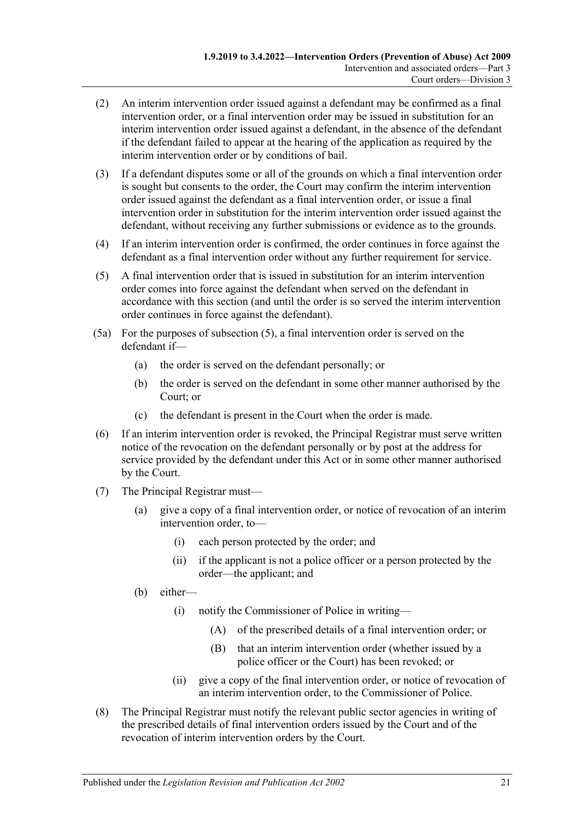- (2) An interim intervention order issued against a defendant may be confirmed as a final intervention order, or a final intervention order may be issued in substitution for an interim intervention order issued against a defendant, in the absence of the defendant if the defendant failed to appear at the hearing of the application as required by the interim intervention order or by conditions of bail.
- (3) If a defendant disputes some or all of the grounds on which a final intervention order is sought but consents to the order, the Court may confirm the interim intervention order issued against the defendant as a final intervention order, or issue a final intervention order in substitution for the interim intervention order issued against the defendant, without receiving any further submissions or evidence as to the grounds.
- (4) If an interim intervention order is confirmed, the order continues in force against the defendant as a final intervention order without any further requirement for service.
- <span id="page-20-0"></span>(5) A final intervention order that is issued in substitution for an interim intervention order comes into force against the defendant when served on the defendant in accordance with this section (and until the order is so served the interim intervention order continues in force against the defendant).
- (5a) For the purposes of [subsection](#page-20-0) (5), a final intervention order is served on the defendant if—
	- (a) the order is served on the defendant personally; or
	- (b) the order is served on the defendant in some other manner authorised by the Court; or
	- (c) the defendant is present in the Court when the order is made.
- (6) If an interim intervention order is revoked, the Principal Registrar must serve written notice of the revocation on the defendant personally or by post at the address for service provided by the defendant under this Act or in some other manner authorised by the Court.
- (7) The Principal Registrar must—
	- (a) give a copy of a final intervention order, or notice of revocation of an interim intervention order, to—
		- (i) each person protected by the order; and
		- (ii) if the applicant is not a police officer or a person protected by the order—the applicant; and
	- (b) either—
		- (i) notify the Commissioner of Police in writing—
			- (A) of the prescribed details of a final intervention order; or
			- (B) that an interim intervention order (whether issued by a police officer or the Court) has been revoked; or
		- (ii) give a copy of the final intervention order, or notice of revocation of an interim intervention order, to the Commissioner of Police.
- (8) The Principal Registrar must notify the relevant public sector agencies in writing of the prescribed details of final intervention orders issued by the Court and of the revocation of interim intervention orders by the Court.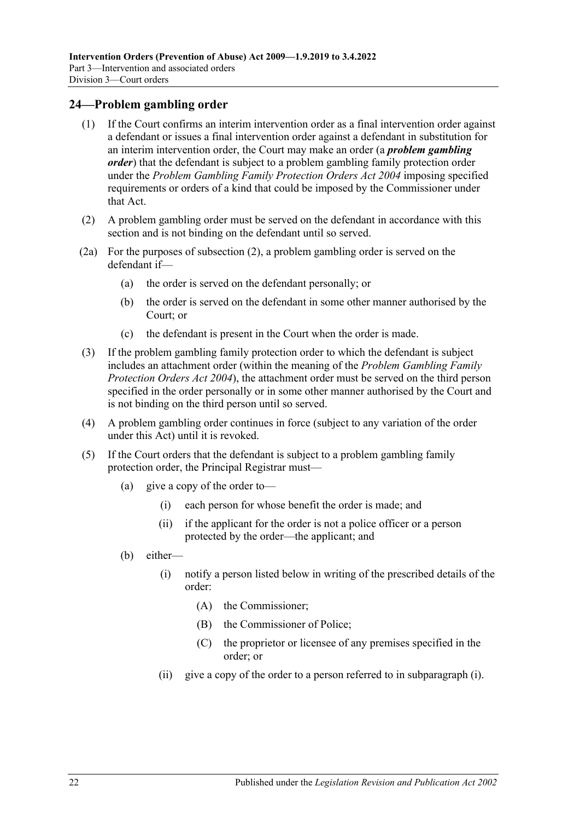#### <span id="page-21-0"></span>**24—Problem gambling order**

- (1) If the Court confirms an interim intervention order as a final intervention order against a defendant or issues a final intervention order against a defendant in substitution for an interim intervention order, the Court may make an order (a *problem gambling order*) that the defendant is subject to a problem gambling family protection order under the *[Problem Gambling Family Protection Orders Act](http://www.legislation.sa.gov.au/index.aspx?action=legref&type=act&legtitle=Problem%20Gambling%20Family%20Protection%20Orders%20Act%202004) 2004* imposing specified requirements or orders of a kind that could be imposed by the Commissioner under that Act.
- <span id="page-21-1"></span>(2) A problem gambling order must be served on the defendant in accordance with this section and is not binding on the defendant until so served.
- (2a) For the purposes of [subsection](#page-21-1) (2), a problem gambling order is served on the defendant if—
	- (a) the order is served on the defendant personally; or
	- (b) the order is served on the defendant in some other manner authorised by the Court; or
	- (c) the defendant is present in the Court when the order is made.
- (3) If the problem gambling family protection order to which the defendant is subject includes an attachment order (within the meaning of the *[Problem Gambling Family](http://www.legislation.sa.gov.au/index.aspx?action=legref&type=act&legtitle=Problem%20Gambling%20Family%20Protection%20Orders%20Act%202004)  [Protection Orders Act](http://www.legislation.sa.gov.au/index.aspx?action=legref&type=act&legtitle=Problem%20Gambling%20Family%20Protection%20Orders%20Act%202004) 2004*), the attachment order must be served on the third person specified in the order personally or in some other manner authorised by the Court and is not binding on the third person until so served.
- (4) A problem gambling order continues in force (subject to any variation of the order under this Act) until it is revoked.
- <span id="page-21-2"></span>(5) If the Court orders that the defendant is subject to a problem gambling family protection order, the Principal Registrar must—
	- (a) give a copy of the order to—
		- (i) each person for whose benefit the order is made; and
		- (ii) if the applicant for the order is not a police officer or a person protected by the order—the applicant; and
	- (b) either—
		- (i) notify a person listed below in writing of the prescribed details of the order:
			- (A) the Commissioner;
			- (B) the Commissioner of Police;
			- (C) the proprietor or licensee of any premises specified in the order; or
		- (ii) give a copy of the order to a person referred to in [subparagraph](#page-21-2) (i).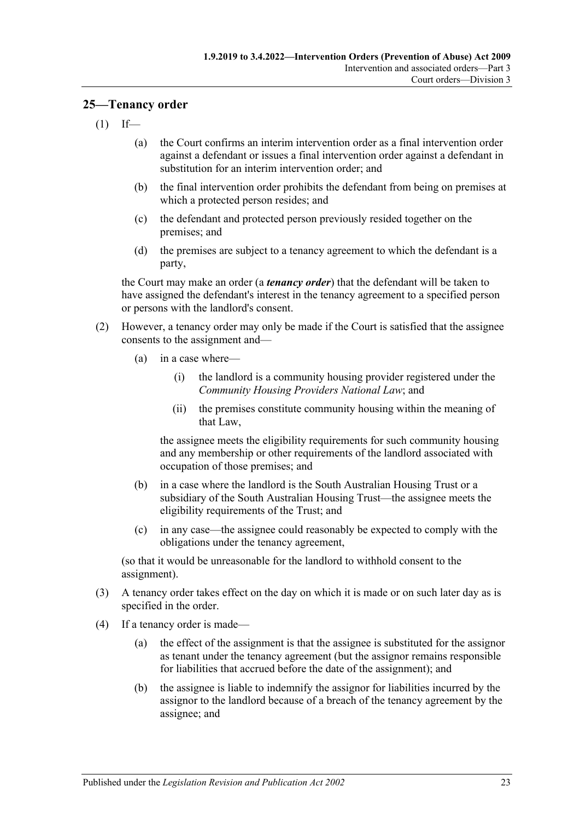#### <span id="page-22-0"></span>**25—Tenancy order**

- $(1)$  If—
	- (a) the Court confirms an interim intervention order as a final intervention order against a defendant or issues a final intervention order against a defendant in substitution for an interim intervention order; and
	- (b) the final intervention order prohibits the defendant from being on premises at which a protected person resides; and
	- (c) the defendant and protected person previously resided together on the premises; and
	- (d) the premises are subject to a tenancy agreement to which the defendant is a party,

the Court may make an order (a *tenancy order*) that the defendant will be taken to have assigned the defendant's interest in the tenancy agreement to a specified person or persons with the landlord's consent.

- (2) However, a tenancy order may only be made if the Court is satisfied that the assignee consents to the assignment and—
	- (a) in a case where—
		- (i) the landlord is a community housing provider registered under the *Community Housing Providers National Law*; and
		- (ii) the premises constitute community housing within the meaning of that Law,

the assignee meets the eligibility requirements for such community housing and any membership or other requirements of the landlord associated with occupation of those premises; and

- (b) in a case where the landlord is the South Australian Housing Trust or a subsidiary of the South Australian Housing Trust—the assignee meets the eligibility requirements of the Trust; and
- (c) in any case—the assignee could reasonably be expected to comply with the obligations under the tenancy agreement,

(so that it would be unreasonable for the landlord to withhold consent to the assignment).

- (3) A tenancy order takes effect on the day on which it is made or on such later day as is specified in the order.
- (4) If a tenancy order is made—
	- (a) the effect of the assignment is that the assignee is substituted for the assignor as tenant under the tenancy agreement (but the assignor remains responsible for liabilities that accrued before the date of the assignment); and
	- (b) the assignee is liable to indemnify the assignor for liabilities incurred by the assignor to the landlord because of a breach of the tenancy agreement by the assignee; and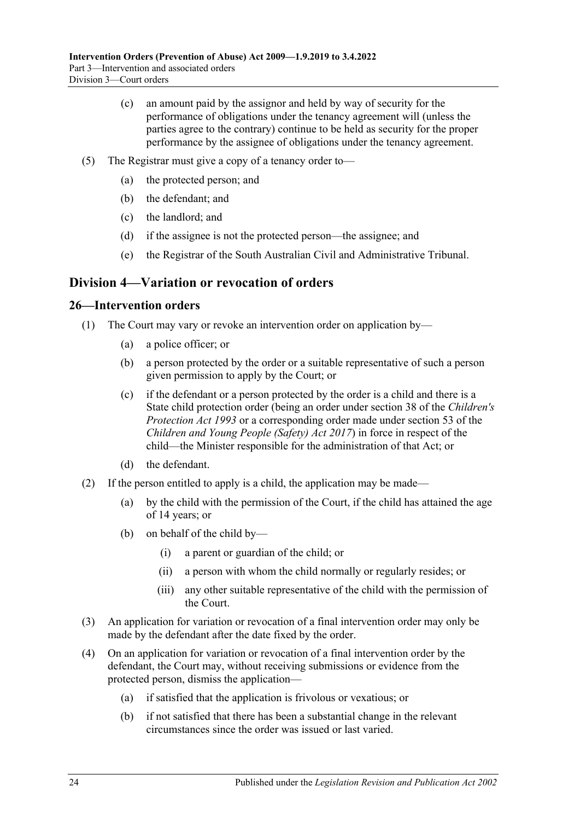- (c) an amount paid by the assignor and held by way of security for the performance of obligations under the tenancy agreement will (unless the parties agree to the contrary) continue to be held as security for the proper performance by the assignee of obligations under the tenancy agreement.
- (5) The Registrar must give a copy of a tenancy order to—
	- (a) the protected person; and
	- (b) the defendant; and
	- (c) the landlord; and
	- (d) if the assignee is not the protected person—the assignee; and
	- (e) the Registrar of the South Australian Civil and Administrative Tribunal.

# <span id="page-23-0"></span>**Division 4—Variation or revocation of orders**

#### <span id="page-23-1"></span>**26—Intervention orders**

- (1) The Court may vary or revoke an intervention order on application by—
	- (a) a police officer; or
	- (b) a person protected by the order or a suitable representative of such a person given permission to apply by the Court; or
	- (c) if the defendant or a person protected by the order is a child and there is a State child protection order (being an order under section 38 of the *[Children's](http://www.legislation.sa.gov.au/index.aspx?action=legref&type=act&legtitle=Childrens%20Protection%20Act%201993)  [Protection Act](http://www.legislation.sa.gov.au/index.aspx?action=legref&type=act&legtitle=Childrens%20Protection%20Act%201993) 1993* or a corresponding order made under section 53 of the *[Children and Young People \(Safety\) Act](http://www.legislation.sa.gov.au/index.aspx?action=legref&type=act&legtitle=Children%20and%20Young%20People%20(Safety)%20Act%202017) 2017*) in force in respect of the child—the Minister responsible for the administration of that Act; or
	- (d) the defendant.
- (2) If the person entitled to apply is a child, the application may be made—
	- (a) by the child with the permission of the Court, if the child has attained the age of 14 years; or
	- (b) on behalf of the child by—
		- (i) a parent or guardian of the child; or
		- (ii) a person with whom the child normally or regularly resides; or
		- (iii) any other suitable representative of the child with the permission of the Court.
- (3) An application for variation or revocation of a final intervention order may only be made by the defendant after the date fixed by the order.
- (4) On an application for variation or revocation of a final intervention order by the defendant, the Court may, without receiving submissions or evidence from the protected person, dismiss the application—
	- (a) if satisfied that the application is frivolous or vexatious; or
	- (b) if not satisfied that there has been a substantial change in the relevant circumstances since the order was issued or last varied.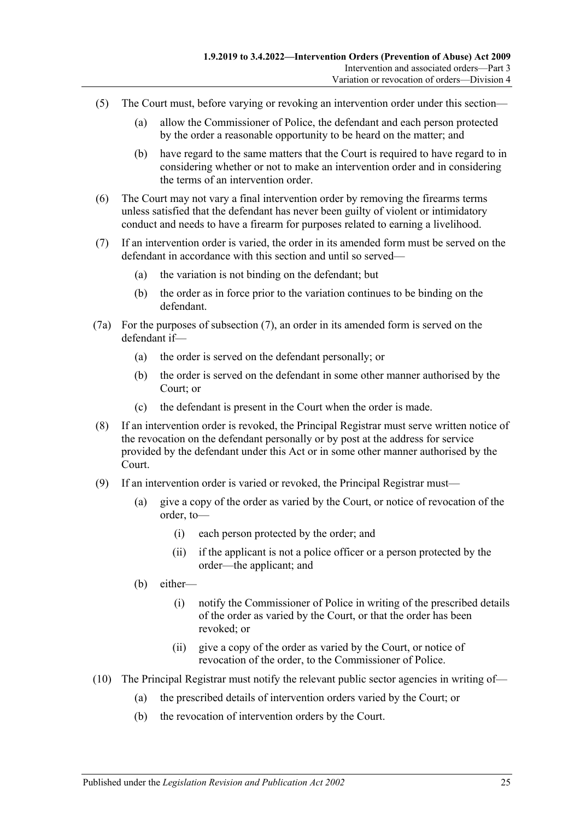- (5) The Court must, before varying or revoking an intervention order under this section—
	- (a) allow the Commissioner of Police, the defendant and each person protected by the order a reasonable opportunity to be heard on the matter; and
	- (b) have regard to the same matters that the Court is required to have regard to in considering whether or not to make an intervention order and in considering the terms of an intervention order.
- (6) The Court may not vary a final intervention order by removing the firearms terms unless satisfied that the defendant has never been guilty of violent or intimidatory conduct and needs to have a firearm for purposes related to earning a livelihood.
- <span id="page-24-0"></span>(7) If an intervention order is varied, the order in its amended form must be served on the defendant in accordance with this section and until so served—
	- (a) the variation is not binding on the defendant; but
	- (b) the order as in force prior to the variation continues to be binding on the defendant.
- (7a) For the purposes of [subsection](#page-24-0) (7), an order in its amended form is served on the defendant if—
	- (a) the order is served on the defendant personally; or
	- (b) the order is served on the defendant in some other manner authorised by the Court; or
	- (c) the defendant is present in the Court when the order is made.
- (8) If an intervention order is revoked, the Principal Registrar must serve written notice of the revocation on the defendant personally or by post at the address for service provided by the defendant under this Act or in some other manner authorised by the Court.
- (9) If an intervention order is varied or revoked, the Principal Registrar must—
	- (a) give a copy of the order as varied by the Court, or notice of revocation of the order, to—
		- (i) each person protected by the order; and
		- (ii) if the applicant is not a police officer or a person protected by the order—the applicant; and
	- (b) either—
		- (i) notify the Commissioner of Police in writing of the prescribed details of the order as varied by the Court, or that the order has been revoked; or
		- (ii) give a copy of the order as varied by the Court, or notice of revocation of the order, to the Commissioner of Police.
- (10) The Principal Registrar must notify the relevant public sector agencies in writing of—
	- (a) the prescribed details of intervention orders varied by the Court; or
	- (b) the revocation of intervention orders by the Court.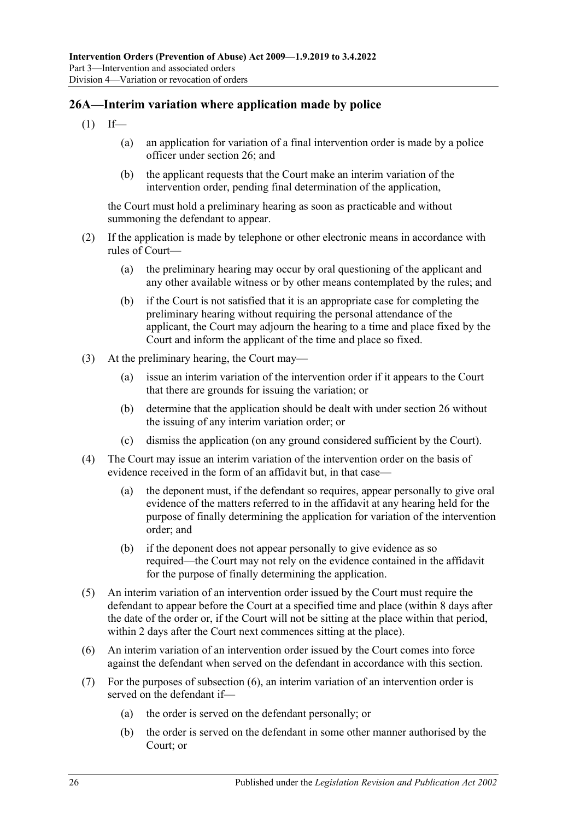## <span id="page-25-0"></span>**26A—Interim variation where application made by police**

- $(1)$  If—
	- (a) an application for variation of a final intervention order is made by a police officer under [section](#page-23-1) 26; and
	- (b) the applicant requests that the Court make an interim variation of the intervention order, pending final determination of the application,

the Court must hold a preliminary hearing as soon as practicable and without summoning the defendant to appear.

- (2) If the application is made by telephone or other electronic means in accordance with rules of Court—
	- (a) the preliminary hearing may occur by oral questioning of the applicant and any other available witness or by other means contemplated by the rules; and
	- (b) if the Court is not satisfied that it is an appropriate case for completing the preliminary hearing without requiring the personal attendance of the applicant, the Court may adjourn the hearing to a time and place fixed by the Court and inform the applicant of the time and place so fixed.
- (3) At the preliminary hearing, the Court may—
	- (a) issue an interim variation of the intervention order if it appears to the Court that there are grounds for issuing the variation; or
	- (b) determine that the application should be dealt with under [section](#page-23-1) 26 without the issuing of any interim variation order; or
	- (c) dismiss the application (on any ground considered sufficient by the Court).
- (4) The Court may issue an interim variation of the intervention order on the basis of evidence received in the form of an affidavit but, in that case—
	- (a) the deponent must, if the defendant so requires, appear personally to give oral evidence of the matters referred to in the affidavit at any hearing held for the purpose of finally determining the application for variation of the intervention order; and
	- (b) if the deponent does not appear personally to give evidence as so required—the Court may not rely on the evidence contained in the affidavit for the purpose of finally determining the application.
- (5) An interim variation of an intervention order issued by the Court must require the defendant to appear before the Court at a specified time and place (within 8 days after the date of the order or, if the Court will not be sitting at the place within that period, within 2 days after the Court next commences sitting at the place).
- <span id="page-25-1"></span>(6) An interim variation of an intervention order issued by the Court comes into force against the defendant when served on the defendant in accordance with this section.
- (7) For the purposes of [subsection](#page-25-1) (6), an interim variation of an intervention order is served on the defendant if—
	- (a) the order is served on the defendant personally; or
	- (b) the order is served on the defendant in some other manner authorised by the Court; or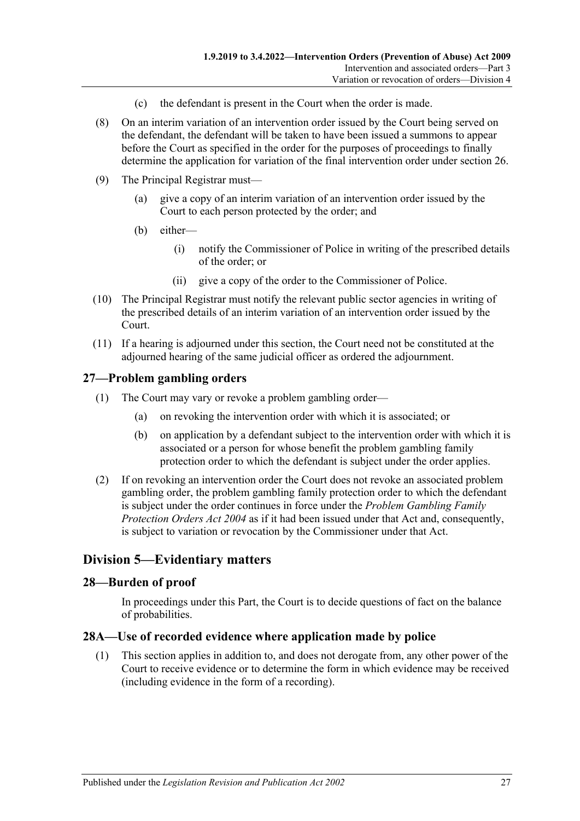- (c) the defendant is present in the Court when the order is made.
- (8) On an interim variation of an intervention order issued by the Court being served on the defendant, the defendant will be taken to have been issued a summons to appear before the Court as specified in the order for the purposes of proceedings to finally determine the application for variation of the final intervention order under [section](#page-23-1) 26.
- (9) The Principal Registrar must—
	- (a) give a copy of an interim variation of an intervention order issued by the Court to each person protected by the order; and
	- (b) either—
		- (i) notify the Commissioner of Police in writing of the prescribed details of the order; or
		- (ii) give a copy of the order to the Commissioner of Police.
- (10) The Principal Registrar must notify the relevant public sector agencies in writing of the prescribed details of an interim variation of an intervention order issued by the Court.
- (11) If a hearing is adjourned under this section, the Court need not be constituted at the adjourned hearing of the same judicial officer as ordered the adjournment.

## <span id="page-26-0"></span>**27—Problem gambling orders**

- (1) The Court may vary or revoke a problem gambling order—
	- (a) on revoking the intervention order with which it is associated; or
	- (b) on application by a defendant subject to the intervention order with which it is associated or a person for whose benefit the problem gambling family protection order to which the defendant is subject under the order applies.
- (2) If on revoking an intervention order the Court does not revoke an associated problem gambling order, the problem gambling family protection order to which the defendant is subject under the order continues in force under the *[Problem Gambling Family](http://www.legislation.sa.gov.au/index.aspx?action=legref&type=act&legtitle=Problem%20Gambling%20Family%20Protection%20Orders%20Act%202004)  [Protection Orders Act](http://www.legislation.sa.gov.au/index.aspx?action=legref&type=act&legtitle=Problem%20Gambling%20Family%20Protection%20Orders%20Act%202004) 2004* as if it had been issued under that Act and, consequently, is subject to variation or revocation by the Commissioner under that Act.

# <span id="page-26-1"></span>**Division 5—Evidentiary matters**

### <span id="page-26-2"></span>**28—Burden of proof**

In proceedings under this Part, the Court is to decide questions of fact on the balance of probabilities.

#### <span id="page-26-3"></span>**28A—Use of recorded evidence where application made by police**

(1) This section applies in addition to, and does not derogate from, any other power of the Court to receive evidence or to determine the form in which evidence may be received (including evidence in the form of a recording).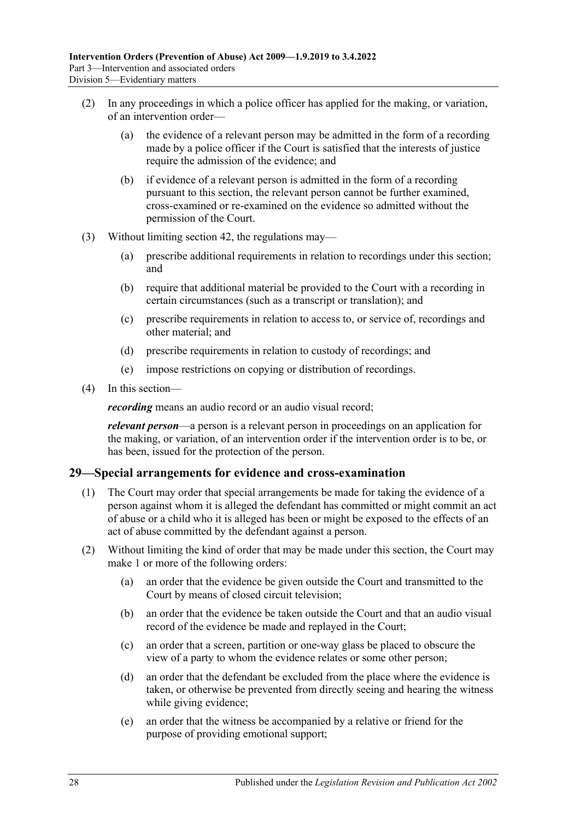- (2) In any proceedings in which a police officer has applied for the making, or variation, of an intervention order—
	- (a) the evidence of a relevant person may be admitted in the form of a recording made by a police officer if the Court is satisfied that the interests of justice require the admission of the evidence; and
	- (b) if evidence of a relevant person is admitted in the form of a recording pursuant to this section, the relevant person cannot be further examined, cross-examined or re-examined on the evidence so admitted without the permission of the Court.
- (3) Without limiting [section](#page-45-6) 42, the regulations may—
	- (a) prescribe additional requirements in relation to recordings under this section; and
	- (b) require that additional material be provided to the Court with a recording in certain circumstances (such as a transcript or translation); and
	- (c) prescribe requirements in relation to access to, or service of, recordings and other material; and
	- (d) prescribe requirements in relation to custody of recordings; and
	- (e) impose restrictions on copying or distribution of recordings.
- (4) In this section—

*recording* means an audio record or an audio visual record;

*relevant person*—a person is a relevant person in proceedings on an application for the making, or variation, of an intervention order if the intervention order is to be, or has been, issued for the protection of the person.

### <span id="page-27-0"></span>**29—Special arrangements for evidence and cross-examination**

- (1) The Court may order that special arrangements be made for taking the evidence of a person against whom it is alleged the defendant has committed or might commit an act of abuse or a child who it is alleged has been or might be exposed to the effects of an act of abuse committed by the defendant against a person.
- (2) Without limiting the kind of order that may be made under this section, the Court may make 1 or more of the following orders:
	- (a) an order that the evidence be given outside the Court and transmitted to the Court by means of closed circuit television;
	- (b) an order that the evidence be taken outside the Court and that an audio visual record of the evidence be made and replayed in the Court;
	- (c) an order that a screen, partition or one-way glass be placed to obscure the view of a party to whom the evidence relates or some other person;
	- (d) an order that the defendant be excluded from the place where the evidence is taken, or otherwise be prevented from directly seeing and hearing the witness while giving evidence;
	- (e) an order that the witness be accompanied by a relative or friend for the purpose of providing emotional support;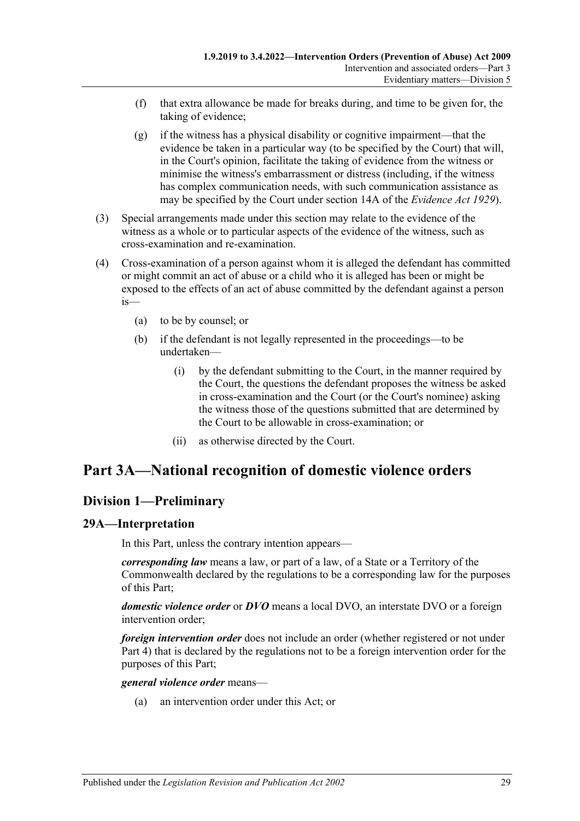- (f) that extra allowance be made for breaks during, and time to be given for, the taking of evidence;
- (g) if the witness has a physical disability or cognitive impairment—that the evidence be taken in a particular way (to be specified by the Court) that will, in the Court's opinion, facilitate the taking of evidence from the witness or minimise the witness's embarrassment or distress (including, if the witness has complex communication needs, with such communication assistance as may be specified by the Court under section 14A of the *[Evidence Act](http://www.legislation.sa.gov.au/index.aspx?action=legref&type=act&legtitle=Evidence%20Act%201929) 1929*).
- (3) Special arrangements made under this section may relate to the evidence of the witness as a whole or to particular aspects of the evidence of the witness, such as cross-examination and re-examination.
- (4) Cross-examination of a person against whom it is alleged the defendant has committed or might commit an act of abuse or a child who it is alleged has been or might be exposed to the effects of an act of abuse committed by the defendant against a person is—
	- (a) to be by counsel; or
	- (b) if the defendant is not legally represented in the proceedings—to be undertaken—
		- (i) by the defendant submitting to the Court, in the manner required by the Court, the questions the defendant proposes the witness be asked in cross-examination and the Court (or the Court's nominee) asking the witness those of the questions submitted that are determined by the Court to be allowable in cross-examination; or
		- (ii) as otherwise directed by the Court.

# <span id="page-28-0"></span>**Part 3A—National recognition of domestic violence orders**

# <span id="page-28-1"></span>**Division 1—Preliminary**

### <span id="page-28-2"></span>**29A—Interpretation**

In this Part, unless the contrary intention appears—

*corresponding law* means a law, or part of a law, of a State or a Territory of the Commonwealth declared by the regulations to be a corresponding law for the purposes of this Part;

*domestic violence order* or *DVO* means a local DVO, an interstate DVO or a foreign intervention order;

*foreign intervention order* does not include an order (whether registered or not under [Part 4\)](#page-40-2) that is declared by the regulations not to be a foreign intervention order for the purposes of this Part;

#### *general violence order* means—

(a) an intervention order under this Act; or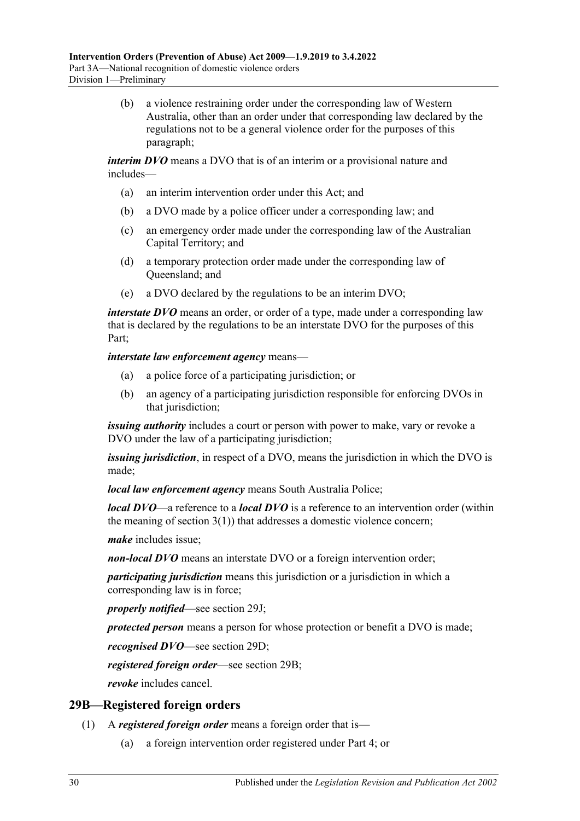(b) a violence restraining order under the corresponding law of Western Australia, other than an order under that corresponding law declared by the regulations not to be a general violence order for the purposes of this paragraph;

*interim DVO* means a DVO that is of an interim or a provisional nature and includes—

- (a) an interim intervention order under this Act; and
- (b) a DVO made by a police officer under a corresponding law; and
- (c) an emergency order made under the corresponding law of the Australian Capital Territory; and
- (d) a temporary protection order made under the corresponding law of Queensland; and
- (e) a DVO declared by the regulations to be an interim DVO;

*interstate DVO* means an order, or order of a type, made under a corresponding law that is declared by the regulations to be an interstate DVO for the purposes of this Part;

*interstate law enforcement agency* means—

- (a) a police force of a participating jurisdiction; or
- (b) an agency of a participating jurisdiction responsible for enforcing DVOs in that jurisdiction;

*issuing authority* includes a court or person with power to make, vary or revoke a DVO under the law of a participating jurisdiction;

*issuing jurisdiction*, in respect of a DVO, means the jurisdiction in which the DVO is made;

*local law enforcement agency* means South Australia Police;

*local DVO*—a reference to a *local DVO* is a reference to an intervention order (within the meaning of [section](#page-3-3)  $3(1)$ ) that addresses a domestic violence concern;

*make* includes issue;

*non-local DVO* means an interstate DVO or a foreign intervention order;

*participating jurisdiction* means this jurisdiction or a jurisdiction in which a corresponding law is in force;

*properly notified*—see [section](#page-33-0) 29J;

*protected person* means a person for whose protection or benefit a DVO is made;

*recognised DVO*—see [section](#page-30-3) 29D;

*registered foreign order*—see [section](#page-29-0) 29B;

*revoke* includes cancel.

### <span id="page-29-0"></span>**29B—Registered foreign orders**

- (1) A *registered foreign order* means a foreign order that is—
	- (a) a foreign intervention order registered under [Part 4;](#page-40-2) or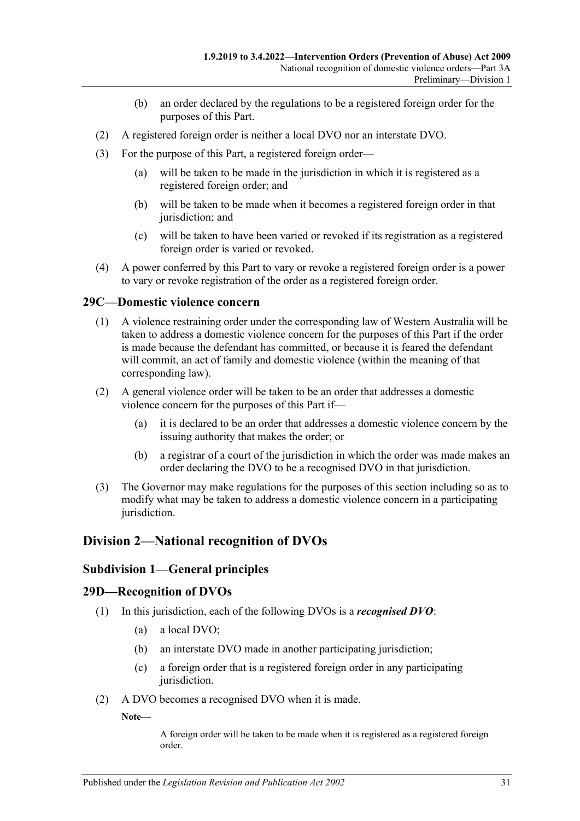- (b) an order declared by the regulations to be a registered foreign order for the purposes of this Part.
- (2) A registered foreign order is neither a local DVO nor an interstate DVO.
- (3) For the purpose of this Part, a registered foreign order—
	- (a) will be taken to be made in the jurisdiction in which it is registered as a registered foreign order; and
	- (b) will be taken to be made when it becomes a registered foreign order in that jurisdiction; and
	- (c) will be taken to have been varied or revoked if its registration as a registered foreign order is varied or revoked.
- (4) A power conferred by this Part to vary or revoke a registered foreign order is a power to vary or revoke registration of the order as a registered foreign order.

### <span id="page-30-0"></span>**29C—Domestic violence concern**

- (1) A violence restraining order under the corresponding law of Western Australia will be taken to address a domestic violence concern for the purposes of this Part if the order is made because the defendant has committed, or because it is feared the defendant will commit, an act of family and domestic violence (within the meaning of that corresponding law).
- (2) A general violence order will be taken to be an order that addresses a domestic violence concern for the purposes of this Part if—
	- (a) it is declared to be an order that addresses a domestic violence concern by the issuing authority that makes the order; or
	- (b) a registrar of a court of the jurisdiction in which the order was made makes an order declaring the DVO to be a recognised DVO in that jurisdiction.
- (3) The Governor may make regulations for the purposes of this section including so as to modify what may be taken to address a domestic violence concern in a participating jurisdiction.

# <span id="page-30-2"></span><span id="page-30-1"></span>**Division 2—National recognition of DVOs**

### **Subdivision 1—General principles**

#### <span id="page-30-3"></span>**29D—Recognition of DVOs**

- (1) In this jurisdiction, each of the following DVOs is a *recognised DVO*:
	- (a) a local DVO;
	- (b) an interstate DVO made in another participating jurisdiction;
	- (c) a foreign order that is a registered foreign order in any participating jurisdiction.
- (2) A DVO becomes a recognised DVO when it is made.

**Note—**

A foreign order will be taken to be made when it is registered as a registered foreign order.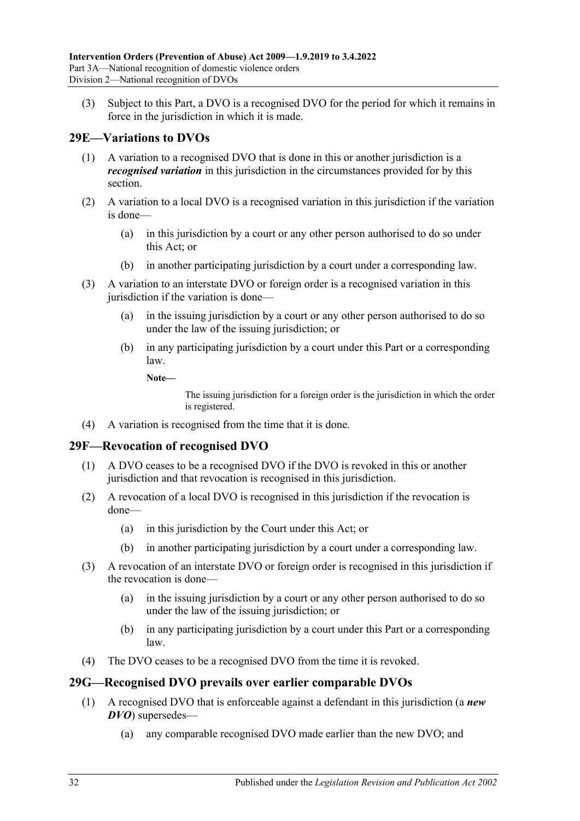(3) Subject to this Part, a DVO is a recognised DVO for the period for which it remains in force in the jurisdiction in which it is made.

# <span id="page-31-0"></span>**29E—Variations to DVOs**

- (1) A variation to a recognised DVO that is done in this or another jurisdiction is a *recognised variation* in this jurisdiction in the circumstances provided for by this section.
- (2) A variation to a local DVO is a recognised variation in this jurisdiction if the variation is done—
	- (a) in this jurisdiction by a court or any other person authorised to do so under this Act; or
	- (b) in another participating jurisdiction by a court under a corresponding law.
- (3) A variation to an interstate DVO or foreign order is a recognised variation in this jurisdiction if the variation is done—
	- (a) in the issuing jurisdiction by a court or any other person authorised to do so under the law of the issuing jurisdiction; or
	- (b) in any participating jurisdiction by a court under this Part or a corresponding law.
		- **Note—**

The issuing jurisdiction for a foreign order is the jurisdiction in which the order is registered.

(4) A variation is recognised from the time that it is done.

### <span id="page-31-1"></span>**29F—Revocation of recognised DVO**

- (1) A DVO ceases to be a recognised DVO if the DVO is revoked in this or another jurisdiction and that revocation is recognised in this jurisdiction.
- (2) A revocation of a local DVO is recognised in this jurisdiction if the revocation is done—
	- (a) in this jurisdiction by the Court under this Act; or
	- (b) in another participating jurisdiction by a court under a corresponding law.
- (3) A revocation of an interstate DVO or foreign order is recognised in this jurisdiction if the revocation is done—
	- (a) in the issuing jurisdiction by a court or any other person authorised to do so under the law of the issuing jurisdiction; or
	- (b) in any participating jurisdiction by a court under this Part or a corresponding law.
- (4) The DVO ceases to be a recognised DVO from the time it is revoked.

# <span id="page-31-2"></span>**29G—Recognised DVO prevails over earlier comparable DVOs**

- (1) A recognised DVO that is enforceable against a defendant in this jurisdiction (a *new DVO*) supersedes—
	- (a) any comparable recognised DVO made earlier than the new DVO; and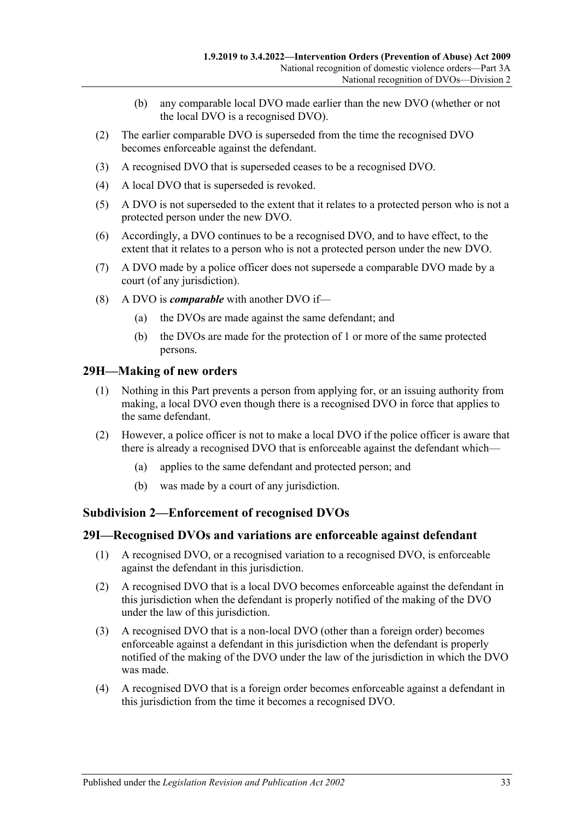- (b) any comparable local DVO made earlier than the new DVO (whether or not the local DVO is a recognised DVO).
- (2) The earlier comparable DVO is superseded from the time the recognised DVO becomes enforceable against the defendant.
- (3) A recognised DVO that is superseded ceases to be a recognised DVO.
- (4) A local DVO that is superseded is revoked.
- (5) A DVO is not superseded to the extent that it relates to a protected person who is not a protected person under the new DVO.
- (6) Accordingly, a DVO continues to be a recognised DVO, and to have effect, to the extent that it relates to a person who is not a protected person under the new DVO.
- (7) A DVO made by a police officer does not supersede a comparable DVO made by a court (of any jurisdiction).
- (8) A DVO is *comparable* with another DVO if—
	- (a) the DVOs are made against the same defendant; and
	- (b) the DVOs are made for the protection of 1 or more of the same protected persons.

#### <span id="page-32-0"></span>**29H—Making of new orders**

- (1) Nothing in this Part prevents a person from applying for, or an issuing authority from making, a local DVO even though there is a recognised DVO in force that applies to the same defendant.
- (2) However, a police officer is not to make a local DVO if the police officer is aware that there is already a recognised DVO that is enforceable against the defendant which—
	- (a) applies to the same defendant and protected person; and
	- (b) was made by a court of any jurisdiction.

#### <span id="page-32-1"></span>**Subdivision 2—Enforcement of recognised DVOs**

#### <span id="page-32-2"></span>**29I—Recognised DVOs and variations are enforceable against defendant**

- (1) A recognised DVO, or a recognised variation to a recognised DVO, is enforceable against the defendant in this jurisdiction.
- (2) A recognised DVO that is a local DVO becomes enforceable against the defendant in this jurisdiction when the defendant is properly notified of the making of the DVO under the law of this jurisdiction.
- (3) A recognised DVO that is a non-local DVO (other than a foreign order) becomes enforceable against a defendant in this jurisdiction when the defendant is properly notified of the making of the DVO under the law of the jurisdiction in which the DVO was made.
- (4) A recognised DVO that is a foreign order becomes enforceable against a defendant in this jurisdiction from the time it becomes a recognised DVO.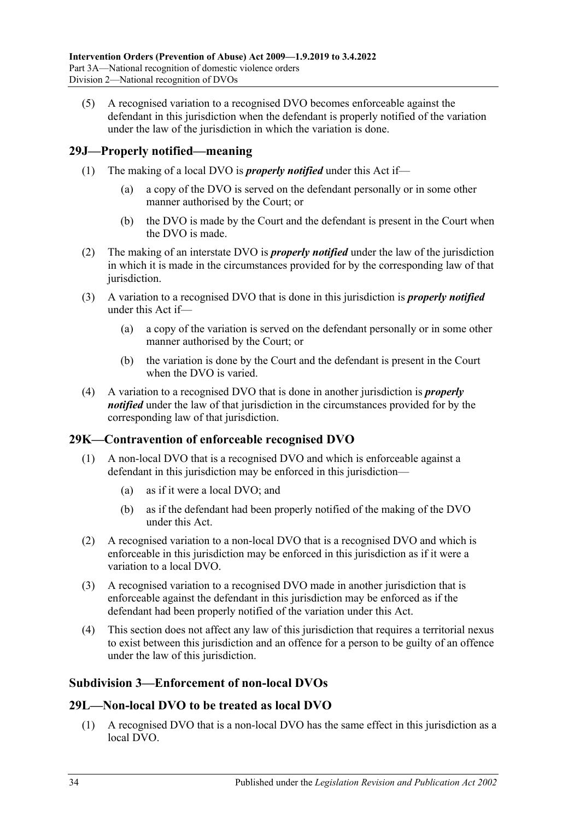(5) A recognised variation to a recognised DVO becomes enforceable against the defendant in this jurisdiction when the defendant is properly notified of the variation under the law of the jurisdiction in which the variation is done.

## <span id="page-33-0"></span>**29J—Properly notified—meaning**

- (1) The making of a local DVO is *properly notified* under this Act if—
	- (a) a copy of the DVO is served on the defendant personally or in some other manner authorised by the Court; or
	- (b) the DVO is made by the Court and the defendant is present in the Court when the DVO is made.
- (2) The making of an interstate DVO is *properly notified* under the law of the jurisdiction in which it is made in the circumstances provided for by the corresponding law of that jurisdiction.
- (3) A variation to a recognised DVO that is done in this jurisdiction is *properly notified* under this Act if—
	- (a) a copy of the variation is served on the defendant personally or in some other manner authorised by the Court; or
	- (b) the variation is done by the Court and the defendant is present in the Court when the DVO is varied.
- (4) A variation to a recognised DVO that is done in another jurisdiction is *properly notified* under the law of that jurisdiction in the circumstances provided for by the corresponding law of that jurisdiction.

### <span id="page-33-1"></span>**29K—Contravention of enforceable recognised DVO**

- (1) A non-local DVO that is a recognised DVO and which is enforceable against a defendant in this jurisdiction may be enforced in this jurisdiction—
	- (a) as if it were a local DVO; and
	- (b) as if the defendant had been properly notified of the making of the DVO under this Act.
- (2) A recognised variation to a non-local DVO that is a recognised DVO and which is enforceable in this jurisdiction may be enforced in this jurisdiction as if it were a variation to a local DVO.
- (3) A recognised variation to a recognised DVO made in another jurisdiction that is enforceable against the defendant in this jurisdiction may be enforced as if the defendant had been properly notified of the variation under this Act.
- (4) This section does not affect any law of this jurisdiction that requires a territorial nexus to exist between this jurisdiction and an offence for a person to be guilty of an offence under the law of this jurisdiction.

### <span id="page-33-2"></span>**Subdivision 3—Enforcement of non-local DVOs**

### <span id="page-33-3"></span>**29L—Non-local DVO to be treated as local DVO**

(1) A recognised DVO that is a non-local DVO has the same effect in this jurisdiction as a local DVO.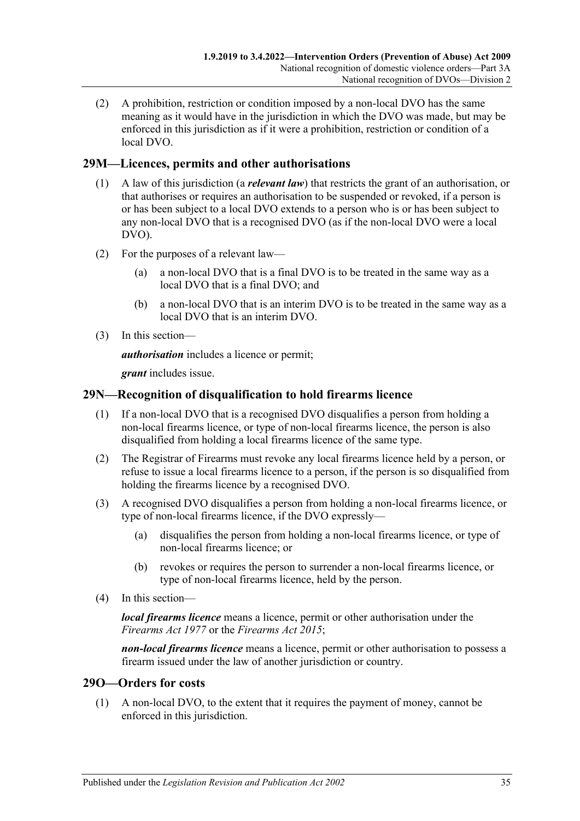(2) A prohibition, restriction or condition imposed by a non-local DVO has the same meaning as it would have in the jurisdiction in which the DVO was made, but may be enforced in this jurisdiction as if it were a prohibition, restriction or condition of a local DVO.

## <span id="page-34-0"></span>**29M—Licences, permits and other authorisations**

- (1) A law of this jurisdiction (a *relevant law*) that restricts the grant of an authorisation, or that authorises or requires an authorisation to be suspended or revoked, if a person is or has been subject to a local DVO extends to a person who is or has been subject to any non-local DVO that is a recognised DVO (as if the non-local DVO were a local DVO).
- (2) For the purposes of a relevant law—
	- (a) a non-local DVO that is a final DVO is to be treated in the same way as a local DVO that is a final DVO; and
	- (b) a non-local DVO that is an interim DVO is to be treated in the same way as a local DVO that is an interim DVO.
- (3) In this section—

*authorisation* includes a licence or permit;

*grant* includes issue.

## <span id="page-34-1"></span>**29N—Recognition of disqualification to hold firearms licence**

- (1) If a non-local DVO that is a recognised DVO disqualifies a person from holding a non-local firearms licence, or type of non-local firearms licence, the person is also disqualified from holding a local firearms licence of the same type.
- (2) The Registrar of Firearms must revoke any local firearms licence held by a person, or refuse to issue a local firearms licence to a person, if the person is so disqualified from holding the firearms licence by a recognised DVO.
- (3) A recognised DVO disqualifies a person from holding a non-local firearms licence, or type of non-local firearms licence, if the DVO expressly—
	- (a) disqualifies the person from holding a non-local firearms licence, or type of non-local firearms licence; or
	- (b) revokes or requires the person to surrender a non-local firearms licence, or type of non-local firearms licence, held by the person.
- (4) In this section—

*local firearms licence* means a licence, permit or other authorisation under the *[Firearms Act](http://www.legislation.sa.gov.au/index.aspx?action=legref&type=act&legtitle=Firearms%20Act%201977) 1977* or the *[Firearms Act](http://www.legislation.sa.gov.au/index.aspx?action=legref&type=act&legtitle=Firearms%20Act%202015) 2015*;

*non-local firearms licence* means a licence, permit or other authorisation to possess a firearm issued under the law of another jurisdiction or country.

## <span id="page-34-2"></span>**29O—Orders for costs**

(1) A non-local DVO, to the extent that it requires the payment of money, cannot be enforced in this jurisdiction.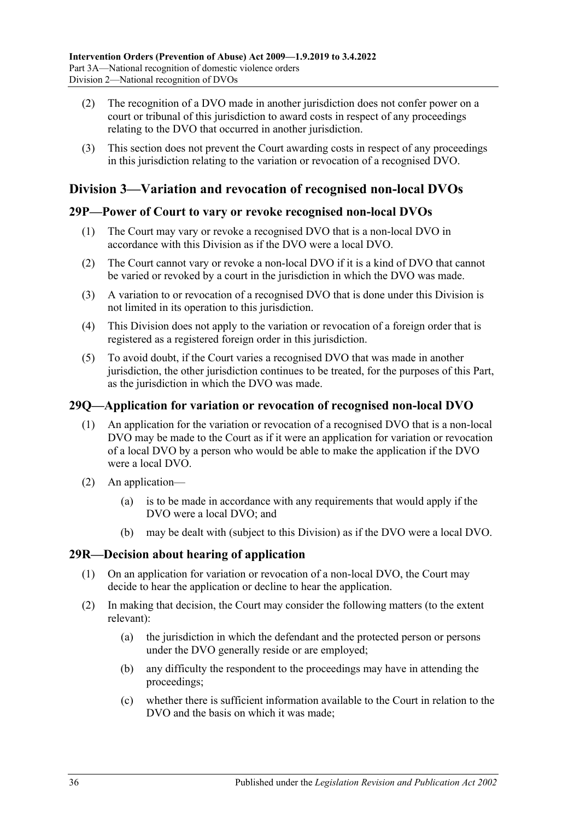- (2) The recognition of a DVO made in another jurisdiction does not confer power on a court or tribunal of this jurisdiction to award costs in respect of any proceedings relating to the DVO that occurred in another jurisdiction.
- (3) This section does not prevent the Court awarding costs in respect of any proceedings in this jurisdiction relating to the variation or revocation of a recognised DVO.

# <span id="page-35-0"></span>**Division 3—Variation and revocation of recognised non-local DVOs**

### <span id="page-35-1"></span>**29P—Power of Court to vary or revoke recognised non-local DVOs**

- (1) The Court may vary or revoke a recognised DVO that is a non-local DVO in accordance with this Division as if the DVO were a local DVO.
- (2) The Court cannot vary or revoke a non-local DVO if it is a kind of DVO that cannot be varied or revoked by a court in the jurisdiction in which the DVO was made.
- (3) A variation to or revocation of a recognised DVO that is done under this Division is not limited in its operation to this jurisdiction.
- (4) This Division does not apply to the variation or revocation of a foreign order that is registered as a registered foreign order in this jurisdiction.
- (5) To avoid doubt, if the Court varies a recognised DVO that was made in another jurisdiction, the other jurisdiction continues to be treated, for the purposes of this Part, as the jurisdiction in which the DVO was made.

## <span id="page-35-2"></span>**29Q—Application for variation or revocation of recognised non-local DVO**

- (1) An application for the variation or revocation of a recognised DVO that is a non-local DVO may be made to the Court as if it were an application for variation or revocation of a local DVO by a person who would be able to make the application if the DVO were a local DVO.
- (2) An application—
	- (a) is to be made in accordance with any requirements that would apply if the DVO were a local DVO; and
	- (b) may be dealt with (subject to this Division) as if the DVO were a local DVO.

# <span id="page-35-3"></span>**29R—Decision about hearing of application**

- (1) On an application for variation or revocation of a non-local DVO, the Court may decide to hear the application or decline to hear the application.
- (2) In making that decision, the Court may consider the following matters (to the extent relevant):
	- (a) the jurisdiction in which the defendant and the protected person or persons under the DVO generally reside or are employed;
	- (b) any difficulty the respondent to the proceedings may have in attending the proceedings;
	- (c) whether there is sufficient information available to the Court in relation to the DVO and the basis on which it was made;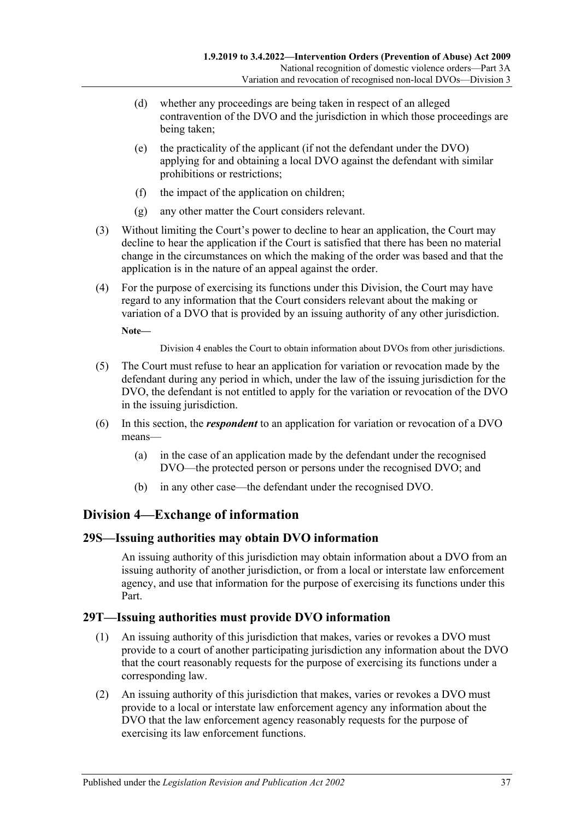- (d) whether any proceedings are being taken in respect of an alleged contravention of the DVO and the jurisdiction in which those proceedings are being taken;
- (e) the practicality of the applicant (if not the defendant under the DVO) applying for and obtaining a local DVO against the defendant with similar prohibitions or restrictions;
- (f) the impact of the application on children;
- (g) any other matter the Court considers relevant.
- (3) Without limiting the Court's power to decline to hear an application, the Court may decline to hear the application if the Court is satisfied that there has been no material change in the circumstances on which the making of the order was based and that the application is in the nature of an appeal against the order.
- (4) For the purpose of exercising its functions under this Division, the Court may have regard to any information that the Court considers relevant about the making or variation of a DVO that is provided by an issuing authority of any other jurisdiction.

**Note—**

[Division](#page-36-0) 4 enables the Court to obtain information about DVOs from other jurisdictions.

- (5) The Court must refuse to hear an application for variation or revocation made by the defendant during any period in which, under the law of the issuing jurisdiction for the DVO, the defendant is not entitled to apply for the variation or revocation of the DVO in the issuing jurisdiction.
- (6) In this section, the *respondent* to an application for variation or revocation of a DVO means—
	- (a) in the case of an application made by the defendant under the recognised DVO—the protected person or persons under the recognised DVO; and
	- (b) in any other case—the defendant under the recognised DVO.

# <span id="page-36-0"></span>**Division 4—Exchange of information**

### <span id="page-36-1"></span>**29S—Issuing authorities may obtain DVO information**

An issuing authority of this jurisdiction may obtain information about a DVO from an issuing authority of another jurisdiction, or from a local or interstate law enforcement agency, and use that information for the purpose of exercising its functions under this Part.

### <span id="page-36-2"></span>**29T—Issuing authorities must provide DVO information**

- (1) An issuing authority of this jurisdiction that makes, varies or revokes a DVO must provide to a court of another participating jurisdiction any information about the DVO that the court reasonably requests for the purpose of exercising its functions under a corresponding law.
- (2) An issuing authority of this jurisdiction that makes, varies or revokes a DVO must provide to a local or interstate law enforcement agency any information about the DVO that the law enforcement agency reasonably requests for the purpose of exercising its law enforcement functions.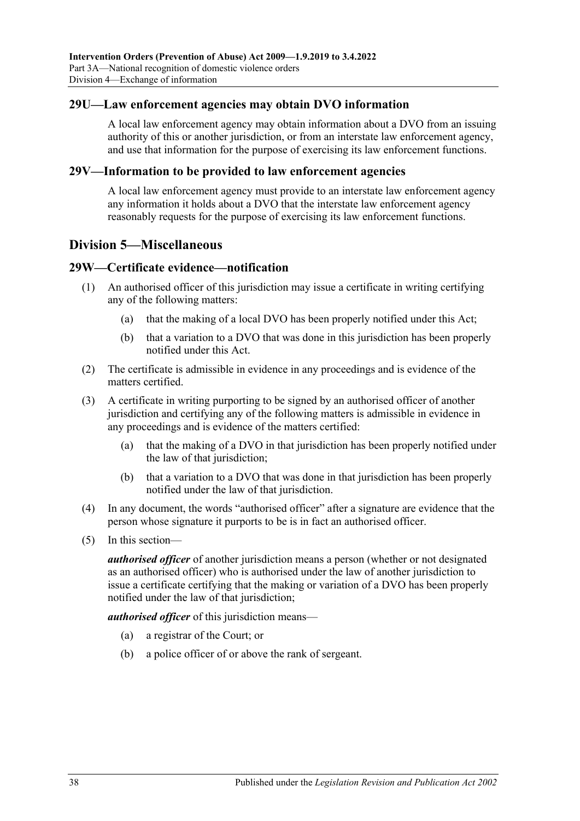#### <span id="page-37-0"></span>**29U—Law enforcement agencies may obtain DVO information**

A local law enforcement agency may obtain information about a DVO from an issuing authority of this or another jurisdiction, or from an interstate law enforcement agency, and use that information for the purpose of exercising its law enforcement functions.

#### <span id="page-37-1"></span>**29V—Information to be provided to law enforcement agencies**

A local law enforcement agency must provide to an interstate law enforcement agency any information it holds about a DVO that the interstate law enforcement agency reasonably requests for the purpose of exercising its law enforcement functions.

### <span id="page-37-2"></span>**Division 5—Miscellaneous**

#### <span id="page-37-3"></span>**29W—Certificate evidence—notification**

- (1) An authorised officer of this jurisdiction may issue a certificate in writing certifying any of the following matters:
	- (a) that the making of a local DVO has been properly notified under this Act;
	- (b) that a variation to a DVO that was done in this jurisdiction has been properly notified under this Act.
- (2) The certificate is admissible in evidence in any proceedings and is evidence of the matters certified.
- (3) A certificate in writing purporting to be signed by an authorised officer of another jurisdiction and certifying any of the following matters is admissible in evidence in any proceedings and is evidence of the matters certified:
	- (a) that the making of a DVO in that jurisdiction has been properly notified under the law of that jurisdiction;
	- (b) that a variation to a DVO that was done in that jurisdiction has been properly notified under the law of that jurisdiction.
- (4) In any document, the words "authorised officer" after a signature are evidence that the person whose signature it purports to be is in fact an authorised officer.
- (5) In this section—

*authorised officer* of another jurisdiction means a person (whether or not designated as an authorised officer) who is authorised under the law of another jurisdiction to issue a certificate certifying that the making or variation of a DVO has been properly notified under the law of that jurisdiction;

*authorised officer* of this jurisdiction means—

- (a) a registrar of the Court; or
- (b) a police officer of or above the rank of sergeant.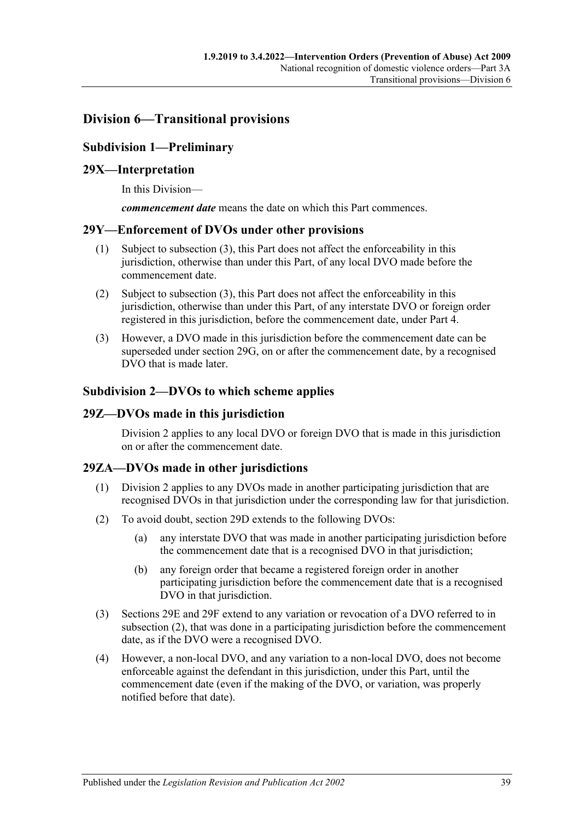# <span id="page-38-1"></span><span id="page-38-0"></span>**Division 6—Transitional provisions**

## **Subdivision 1—Preliminary**

### <span id="page-38-2"></span>**29X—Interpretation**

In this Division—

*commencement date* means the date on which this Part commences.

#### <span id="page-38-3"></span>**29Y—Enforcement of DVOs under other provisions**

- (1) Subject to [subsection](#page-38-7) (3), this Part does not affect the enforceability in this jurisdiction, otherwise than under this Part, of any local DVO made before the commencement date.
- (2) Subject to [subsection](#page-38-7) (3), this Part does not affect the enforceability in this jurisdiction, otherwise than under this Part, of any interstate DVO or foreign order registered in this jurisdiction, before the commencement date, under [Part 4.](#page-40-2)
- <span id="page-38-7"></span>(3) However, a DVO made in this jurisdiction before the commencement date can be superseded under [section](#page-31-2) 29G, on or after the commencement date, by a recognised DVO that is made later.

#### <span id="page-38-4"></span>**Subdivision 2—DVOs to which scheme applies**

#### <span id="page-38-5"></span>**29Z—DVOs made in this jurisdiction**

[Division](#page-30-1) 2 applies to any local DVO or foreign DVO that is made in this jurisdiction on or after the commencement date.

### <span id="page-38-6"></span>**29ZA—DVOs made in other jurisdictions**

- (1) [Division](#page-30-1) 2 applies to any DVOs made in another participating jurisdiction that are recognised DVOs in that jurisdiction under the corresponding law for that jurisdiction.
- <span id="page-38-8"></span>(2) To avoid doubt, [section](#page-30-3) 29D extends to the following DVOs:
	- (a) any interstate DVO that was made in another participating jurisdiction before the commencement date that is a recognised DVO in that jurisdiction;
	- (b) any foreign order that became a registered foreign order in another participating jurisdiction before the commencement date that is a recognised DVO in that jurisdiction.
- (3) [Sections 29E](#page-31-0) and [29F](#page-31-1) extend to any variation or revocation of a DVO referred to in [subsection](#page-38-8) (2), that was done in a participating jurisdiction before the commencement date, as if the DVO were a recognised DVO.
- (4) However, a non-local DVO, and any variation to a non-local DVO, does not become enforceable against the defendant in this jurisdiction, under this Part, until the commencement date (even if the making of the DVO, or variation, was properly notified before that date).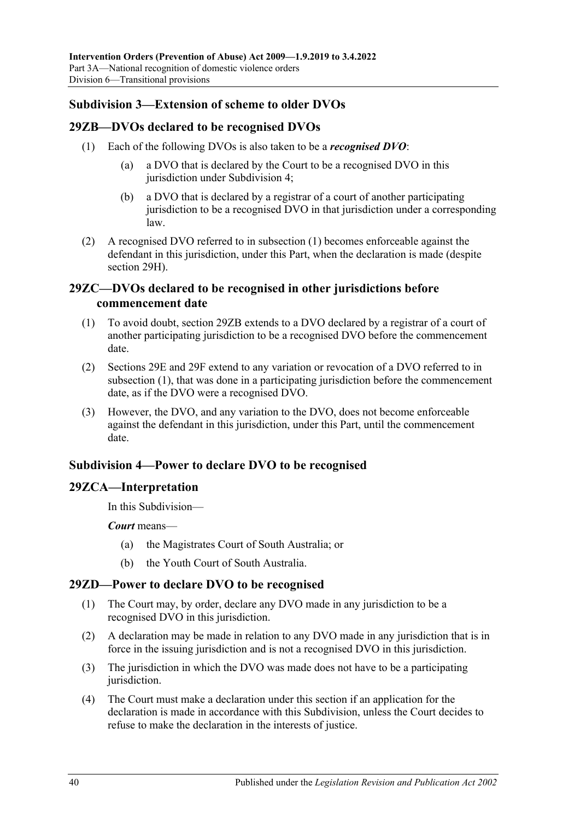## <span id="page-39-0"></span>**Subdivision 3—Extension of scheme to older DVOs**

## <span id="page-39-6"></span><span id="page-39-1"></span>**29ZB—DVOs declared to be recognised DVOs**

- (1) Each of the following DVOs is also taken to be a *recognised DVO*:
	- (a) a DVO that is declared by the Court to be a recognised DVO in this jurisdiction under [Subdivision](#page-39-3) 4;
	- (b) a DVO that is declared by a registrar of a court of another participating jurisdiction to be a recognised DVO in that jurisdiction under a corresponding law.
- (2) A recognised DVO referred to in [subsection](#page-39-6) (1) becomes enforceable against the defendant in this jurisdiction, under this Part, when the declaration is made (despite [section](#page-32-0) 29H).

## <span id="page-39-2"></span>**29ZC—DVOs declared to be recognised in other jurisdictions before commencement date**

- <span id="page-39-7"></span>(1) To avoid doubt, [section](#page-39-1) 29ZB extends to a DVO declared by a registrar of a court of another participating jurisdiction to be a recognised DVO before the commencement date.
- (2) [Sections 29E](#page-31-0) and [29F](#page-31-1) extend to any variation or revocation of a DVO referred to in [subsection](#page-39-7) (1), that was done in a participating jurisdiction before the commencement date, as if the DVO were a recognised DVO.
- (3) However, the DVO, and any variation to the DVO, does not become enforceable against the defendant in this jurisdiction, under this Part, until the commencement date.

### <span id="page-39-3"></span>**Subdivision 4—Power to declare DVO to be recognised**

### <span id="page-39-4"></span>**29ZCA—Interpretation**

In this Subdivision—

*Court* means—

- (a) the Magistrates Court of South Australia; or
- (b) the Youth Court of South Australia.

# <span id="page-39-5"></span>**29ZD—Power to declare DVO to be recognised**

- (1) The Court may, by order, declare any DVO made in any jurisdiction to be a recognised DVO in this jurisdiction.
- (2) A declaration may be made in relation to any DVO made in any jurisdiction that is in force in the issuing jurisdiction and is not a recognised DVO in this jurisdiction.
- (3) The jurisdiction in which the DVO was made does not have to be a participating jurisdiction.
- <span id="page-39-8"></span>(4) The Court must make a declaration under this section if an application for the declaration is made in accordance with this Subdivision, unless the Court decides to refuse to make the declaration in the interests of justice.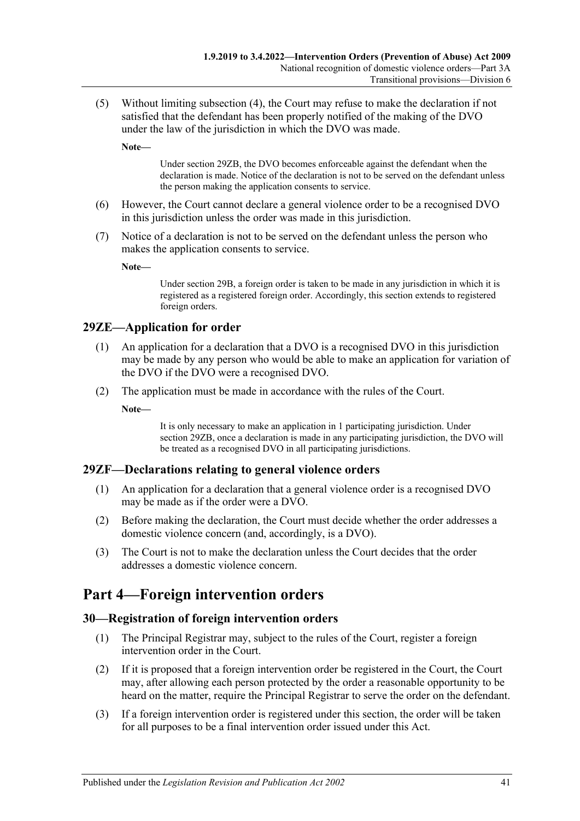(5) Without limiting [subsection](#page-39-8) (4), the Court may refuse to make the declaration if not satisfied that the defendant has been properly notified of the making of the DVO under the law of the jurisdiction in which the DVO was made.

**Note—**

Under [section](#page-39-1) 29ZB, the DVO becomes enforceable against the defendant when the declaration is made. Notice of the declaration is not to be served on the defendant unless the person making the application consents to service.

- (6) However, the Court cannot declare a general violence order to be a recognised DVO in this jurisdiction unless the order was made in this jurisdiction.
- (7) Notice of a declaration is not to be served on the defendant unless the person who makes the application consents to service.

**Note—**

Under [section](#page-29-0) 29B, a foreign order is taken to be made in any jurisdiction in which it is registered as a registered foreign order. Accordingly, this section extends to registered foreign orders.

### <span id="page-40-0"></span>**29ZE—Application for order**

- (1) An application for a declaration that a DVO is a recognised DVO in this jurisdiction may be made by any person who would be able to make an application for variation of the DVO if the DVO were a recognised DVO.
- (2) The application must be made in accordance with the rules of the Court.

**Note—**

It is only necessary to make an application in 1 participating jurisdiction. Under [section](#page-39-1) 29ZB, once a declaration is made in any participating jurisdiction, the DVO will be treated as a recognised DVO in all participating jurisdictions.

### <span id="page-40-1"></span>**29ZF—Declarations relating to general violence orders**

- (1) An application for a declaration that a general violence order is a recognised DVO may be made as if the order were a DVO.
- (2) Before making the declaration, the Court must decide whether the order addresses a domestic violence concern (and, accordingly, is a DVO).
- (3) The Court is not to make the declaration unless the Court decides that the order addresses a domestic violence concern.

# <span id="page-40-2"></span>**Part 4—Foreign intervention orders**

#### <span id="page-40-3"></span>**30—Registration of foreign intervention orders**

- (1) The Principal Registrar may, subject to the rules of the Court, register a foreign intervention order in the Court.
- (2) If it is proposed that a foreign intervention order be registered in the Court, the Court may, after allowing each person protected by the order a reasonable opportunity to be heard on the matter, require the Principal Registrar to serve the order on the defendant.
- (3) If a foreign intervention order is registered under this section, the order will be taken for all purposes to be a final intervention order issued under this Act.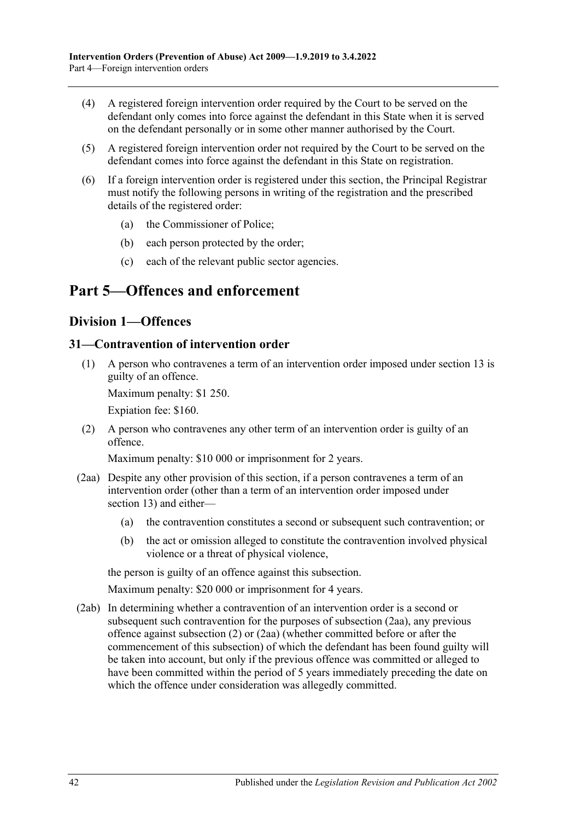- (4) A registered foreign intervention order required by the Court to be served on the defendant only comes into force against the defendant in this State when it is served on the defendant personally or in some other manner authorised by the Court.
- (5) A registered foreign intervention order not required by the Court to be served on the defendant comes into force against the defendant in this State on registration.
- (6) If a foreign intervention order is registered under this section, the Principal Registrar must notify the following persons in writing of the registration and the prescribed details of the registered order:
	- (a) the Commissioner of Police;
	- (b) each person protected by the order;
	- (c) each of the relevant public sector agencies.

# <span id="page-41-1"></span><span id="page-41-0"></span>**Part 5—Offences and enforcement**

## **Division 1—Offences**

#### <span id="page-41-5"></span><span id="page-41-2"></span>**31—Contravention of intervention order**

(1) A person who contravenes a term of an intervention order imposed under [section](#page-12-0) 13 is guilty of an offence.

Maximum penalty: \$1 250.

Expiation fee: \$160.

<span id="page-41-4"></span>(2) A person who contravenes any other term of an intervention order is guilty of an offence.

Maximum penalty: \$10 000 or imprisonment for 2 years.

- <span id="page-41-3"></span>(2aa) Despite any other provision of this section, if a person contravenes a term of an intervention order (other than a term of an intervention order imposed under [section](#page-12-0) 13) and either—
	- (a) the contravention constitutes a second or subsequent such contravention; or
	- (b) the act or omission alleged to constitute the contravention involved physical violence or a threat of physical violence,

the person is guilty of an offence against this subsection.

Maximum penalty: \$20 000 or imprisonment for 4 years.

(2ab) In determining whether a contravention of an intervention order is a second or subsequent such contravention for the purposes of [subsection](#page-41-3) (2aa), any previous offence against [subsection](#page-41-4) (2) or [\(2aa\)](#page-41-3) (whether committed before or after the commencement of this subsection) of which the defendant has been found guilty will be taken into account, but only if the previous offence was committed or alleged to have been committed within the period of 5 years immediately preceding the date on which the offence under consideration was allegedly committed.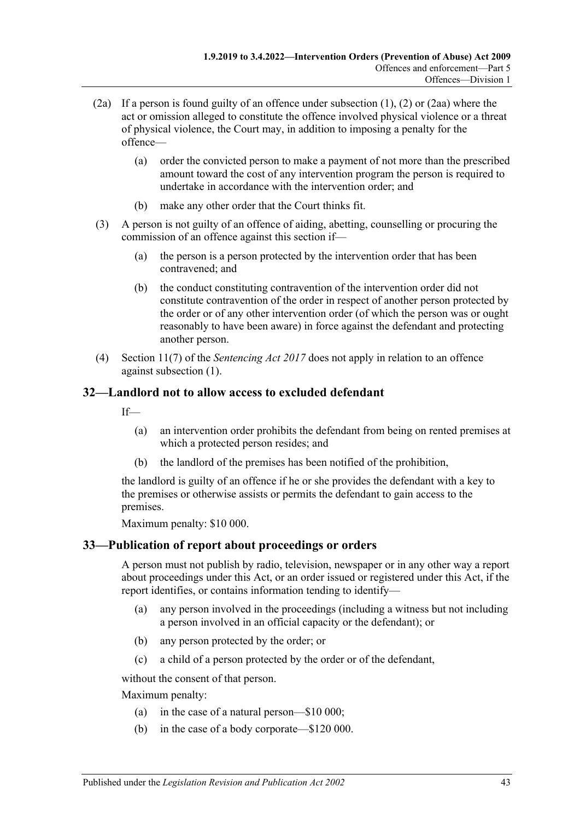- (2a) If a person is found guilty of an offence under [subsection](#page-41-5) (1), [\(2\)](#page-41-4) or [\(2aa\)](#page-41-3) where the act or omission alleged to constitute the offence involved physical violence or a threat of physical violence, the Court may, in addition to imposing a penalty for the offence—
	- (a) order the convicted person to make a payment of not more than the prescribed amount toward the cost of any intervention program the person is required to undertake in accordance with the intervention order; and
	- (b) make any other order that the Court thinks fit.
- (3) A person is not guilty of an offence of aiding, abetting, counselling or procuring the commission of an offence against this section if—
	- (a) the person is a person protected by the intervention order that has been contravened; and
	- (b) the conduct constituting contravention of the intervention order did not constitute contravention of the order in respect of another person protected by the order or of any other intervention order (of which the person was or ought reasonably to have been aware) in force against the defendant and protecting another person.
- (4) Section 11(7) of the *[Sentencing Act](http://www.legislation.sa.gov.au/index.aspx?action=legref&type=act&legtitle=Sentencing%20Act%202017) 2017* does not apply in relation to an offence against [subsection](#page-41-5) (1).

# <span id="page-42-0"></span>**32—Landlord not to allow access to excluded defendant**

 $If$ 

- (a) an intervention order prohibits the defendant from being on rented premises at which a protected person resides; and
- (b) the landlord of the premises has been notified of the prohibition,

the landlord is guilty of an offence if he or she provides the defendant with a key to the premises or otherwise assists or permits the defendant to gain access to the premises.

Maximum penalty: \$10 000.

# <span id="page-42-1"></span>**33—Publication of report about proceedings or orders**

A person must not publish by radio, television, newspaper or in any other way a report about proceedings under this Act, or an order issued or registered under this Act, if the report identifies, or contains information tending to identify—

- (a) any person involved in the proceedings (including a witness but not including a person involved in an official capacity or the defendant); or
- (b) any person protected by the order; or
- (c) a child of a person protected by the order or of the defendant,

without the consent of that person.

Maximum penalty:

- (a) in the case of a natural person—\$10 000;
- (b) in the case of a body corporate—\$120 000.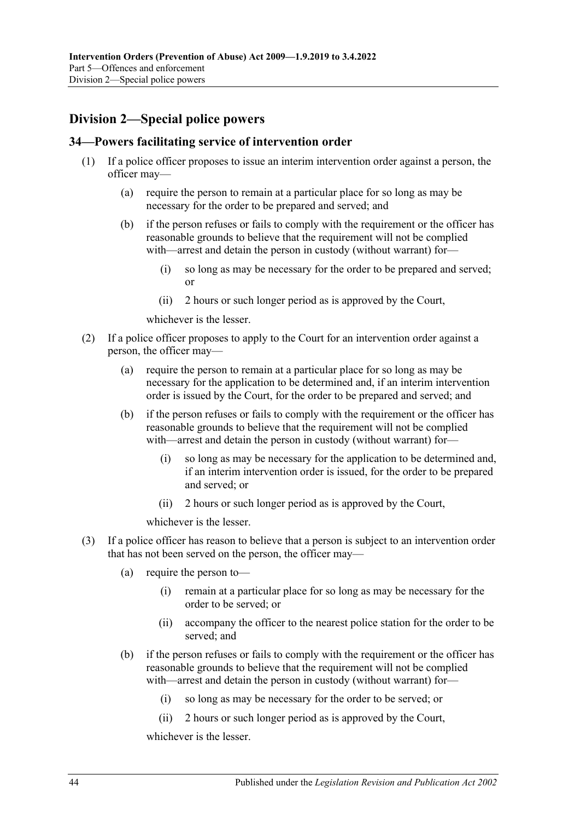# <span id="page-43-0"></span>**Division 2—Special police powers**

#### <span id="page-43-1"></span>**34—Powers facilitating service of intervention order**

- (1) If a police officer proposes to issue an interim intervention order against a person, the officer may—
	- (a) require the person to remain at a particular place for so long as may be necessary for the order to be prepared and served; and
	- (b) if the person refuses or fails to comply with the requirement or the officer has reasonable grounds to believe that the requirement will not be complied with—arrest and detain the person in custody (without warrant) for—
		- (i) so long as may be necessary for the order to be prepared and served; or
		- (ii) 2 hours or such longer period as is approved by the Court,

whichever is the lesser.

- (2) If a police officer proposes to apply to the Court for an intervention order against a person, the officer may—
	- (a) require the person to remain at a particular place for so long as may be necessary for the application to be determined and, if an interim intervention order is issued by the Court, for the order to be prepared and served; and
	- (b) if the person refuses or fails to comply with the requirement or the officer has reasonable grounds to believe that the requirement will not be complied with—arrest and detain the person in custody (without warrant) for—
		- (i) so long as may be necessary for the application to be determined and, if an interim intervention order is issued, for the order to be prepared and served; or
		- (ii) 2 hours or such longer period as is approved by the Court,

whichever is the lesser.

- <span id="page-43-2"></span>(3) If a police officer has reason to believe that a person is subject to an intervention order that has not been served on the person, the officer may—
	- (a) require the person to—
		- (i) remain at a particular place for so long as may be necessary for the order to be served; or
		- (ii) accompany the officer to the nearest police station for the order to be served; and
	- (b) if the person refuses or fails to comply with the requirement or the officer has reasonable grounds to believe that the requirement will not be complied with—arrest and detain the person in custody (without warrant) for—
		- (i) so long as may be necessary for the order to be served; or
		- (ii) 2 hours or such longer period as is approved by the Court,

whichever is the lesser.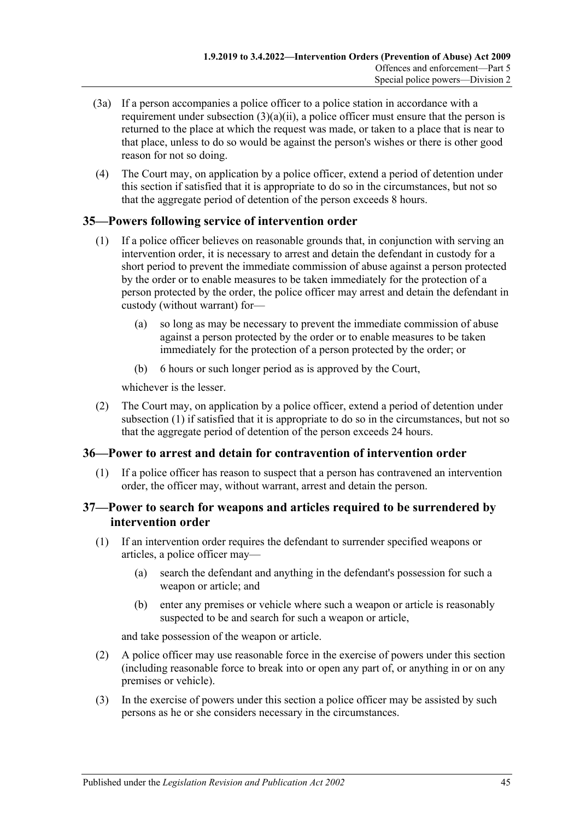- (3a) If a person accompanies a police officer to a police station in accordance with a requirement under [subsection](#page-43-2)  $(3)(a)(ii)$ , a police officer must ensure that the person is returned to the place at which the request was made, or taken to a place that is near to that place, unless to do so would be against the person's wishes or there is other good reason for not so doing.
- (4) The Court may, on application by a police officer, extend a period of detention under this section if satisfied that it is appropriate to do so in the circumstances, but not so that the aggregate period of detention of the person exceeds 8 hours.

# <span id="page-44-3"></span><span id="page-44-0"></span>**35—Powers following service of intervention order**

- (1) If a police officer believes on reasonable grounds that, in conjunction with serving an intervention order, it is necessary to arrest and detain the defendant in custody for a short period to prevent the immediate commission of abuse against a person protected by the order or to enable measures to be taken immediately for the protection of a person protected by the order, the police officer may arrest and detain the defendant in custody (without warrant) for—
	- (a) so long as may be necessary to prevent the immediate commission of abuse against a person protected by the order or to enable measures to be taken immediately for the protection of a person protected by the order; or
	- (b) 6 hours or such longer period as is approved by the Court,

whichever is the lesser.

(2) The Court may, on application by a police officer, extend a period of detention under [subsection](#page-44-3) (1) if satisfied that it is appropriate to do so in the circumstances, but not so that the aggregate period of detention of the person exceeds 24 hours.

# <span id="page-44-1"></span>**36—Power to arrest and detain for contravention of intervention order**

(1) If a police officer has reason to suspect that a person has contravened an intervention order, the officer may, without warrant, arrest and detain the person.

### <span id="page-44-2"></span>**37—Power to search for weapons and articles required to be surrendered by intervention order**

- (1) If an intervention order requires the defendant to surrender specified weapons or articles, a police officer may—
	- (a) search the defendant and anything in the defendant's possession for such a weapon or article; and
	- (b) enter any premises or vehicle where such a weapon or article is reasonably suspected to be and search for such a weapon or article,

and take possession of the weapon or article.

- (2) A police officer may use reasonable force in the exercise of powers under this section (including reasonable force to break into or open any part of, or anything in or on any premises or vehicle).
- (3) In the exercise of powers under this section a police officer may be assisted by such persons as he or she considers necessary in the circumstances.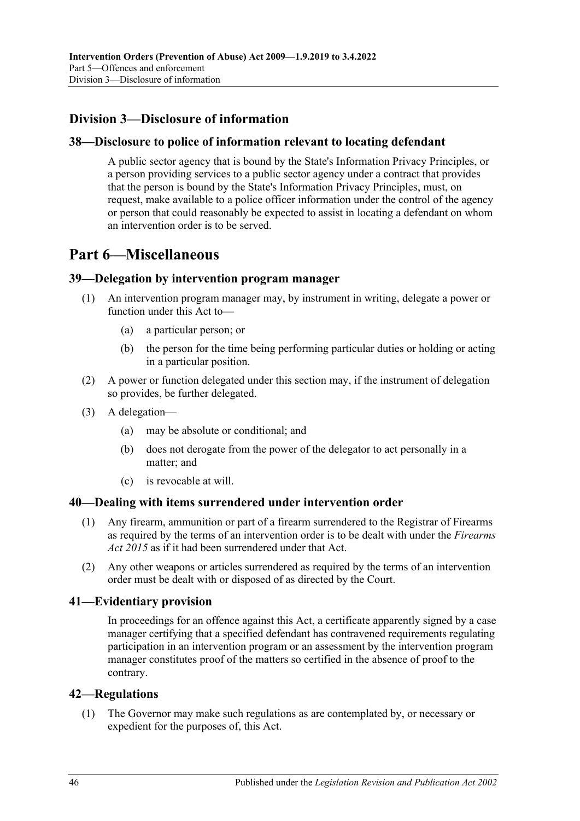# <span id="page-45-0"></span>**Division 3—Disclosure of information**

## <span id="page-45-1"></span>**38—Disclosure to police of information relevant to locating defendant**

A public sector agency that is bound by the State's Information Privacy Principles, or a person providing services to a public sector agency under a contract that provides that the person is bound by the State's Information Privacy Principles, must, on request, make available to a police officer information under the control of the agency or person that could reasonably be expected to assist in locating a defendant on whom an intervention order is to be served.

# <span id="page-45-2"></span>**Part 6—Miscellaneous**

### <span id="page-45-3"></span>**39—Delegation by intervention program manager**

- (1) An intervention program manager may, by instrument in writing, delegate a power or function under this Act to—
	- (a) a particular person; or
	- (b) the person for the time being performing particular duties or holding or acting in a particular position.
- (2) A power or function delegated under this section may, if the instrument of delegation so provides, be further delegated.
- (3) A delegation—
	- (a) may be absolute or conditional; and
	- (b) does not derogate from the power of the delegator to act personally in a matter; and
	- (c) is revocable at will.

### <span id="page-45-4"></span>**40—Dealing with items surrendered under intervention order**

- (1) Any firearm, ammunition or part of a firearm surrendered to the Registrar of Firearms as required by the terms of an intervention order is to be dealt with under the *[Firearms](http://www.legislation.sa.gov.au/index.aspx?action=legref&type=act&legtitle=Firearms%20Act%202015)  Act [2015](http://www.legislation.sa.gov.au/index.aspx?action=legref&type=act&legtitle=Firearms%20Act%202015)* as if it had been surrendered under that Act.
- (2) Any other weapons or articles surrendered as required by the terms of an intervention order must be dealt with or disposed of as directed by the Court.

# <span id="page-45-5"></span>**41—Evidentiary provision**

In proceedings for an offence against this Act, a certificate apparently signed by a case manager certifying that a specified defendant has contravened requirements regulating participation in an intervention program or an assessment by the intervention program manager constitutes proof of the matters so certified in the absence of proof to the contrary.

### <span id="page-45-7"></span><span id="page-45-6"></span>**42—Regulations**

(1) The Governor may make such regulations as are contemplated by, or necessary or expedient for the purposes of, this Act.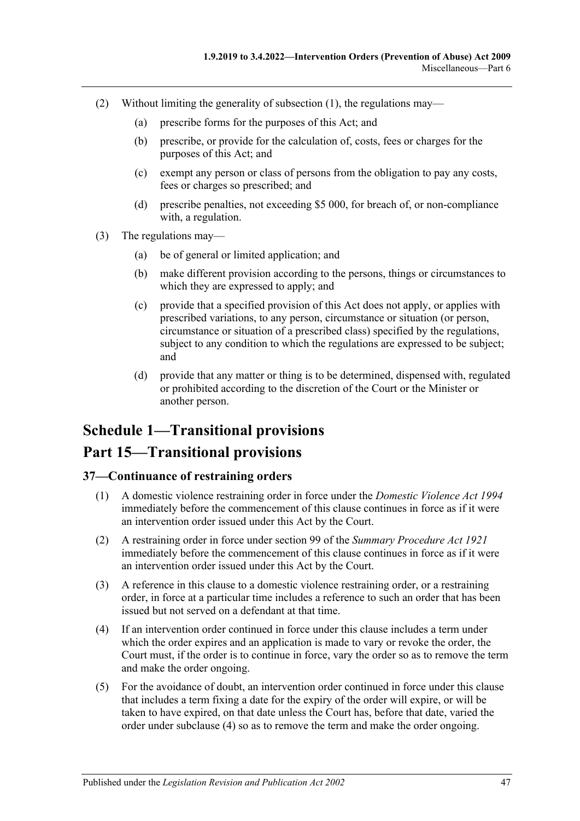- (2) Without limiting the generality of [subsection](#page-45-7) (1), the regulations may—
	- (a) prescribe forms for the purposes of this Act; and
	- (b) prescribe, or provide for the calculation of, costs, fees or charges for the purposes of this Act; and
	- (c) exempt any person or class of persons from the obligation to pay any costs, fees or charges so prescribed; and
	- (d) prescribe penalties, not exceeding \$5 000, for breach of, or non-compliance with, a regulation.
- (3) The regulations may—
	- (a) be of general or limited application; and
	- (b) make different provision according to the persons, things or circumstances to which they are expressed to apply; and
	- (c) provide that a specified provision of this Act does not apply, or applies with prescribed variations, to any person, circumstance or situation (or person, circumstance or situation of a prescribed class) specified by the regulations, subject to any condition to which the regulations are expressed to be subject; and
	- (d) provide that any matter or thing is to be determined, dispensed with, regulated or prohibited according to the discretion of the Court or the Minister or another person.

# <span id="page-46-0"></span>**Schedule 1—Transitional provisions Part 15—Transitional provisions**

#### <span id="page-46-1"></span>**37—Continuance of restraining orders**

- (1) A domestic violence restraining order in force under the *[Domestic Violence Act](http://www.legislation.sa.gov.au/index.aspx?action=legref&type=act&legtitle=Domestic%20Violence%20Act%201994) 1994* immediately before the commencement of this clause continues in force as if it were an intervention order issued under this Act by the Court.
- (2) A restraining order in force under section 99 of the *[Summary Procedure Act](http://www.legislation.sa.gov.au/index.aspx?action=legref&type=act&legtitle=Summary%20Procedure%20Act%201921) 1921* immediately before the commencement of this clause continues in force as if it were an intervention order issued under this Act by the Court.
- (3) A reference in this clause to a domestic violence restraining order, or a restraining order, in force at a particular time includes a reference to such an order that has been issued but not served on a defendant at that time.
- <span id="page-46-2"></span>(4) If an intervention order continued in force under this clause includes a term under which the order expires and an application is made to vary or revoke the order, the Court must, if the order is to continue in force, vary the order so as to remove the term and make the order ongoing.
- (5) For the avoidance of doubt, an intervention order continued in force under this clause that includes a term fixing a date for the expiry of the order will expire, or will be taken to have expired, on that date unless the Court has, before that date, varied the order under [subclause](#page-46-2) (4) so as to remove the term and make the order ongoing.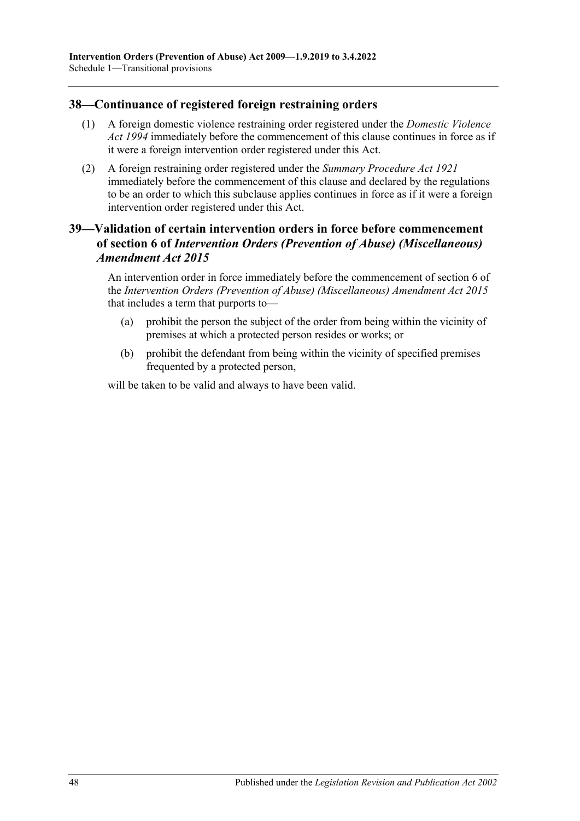### <span id="page-47-0"></span>**38—Continuance of registered foreign restraining orders**

- (1) A foreign domestic violence restraining order registered under the *[Domestic Violence](http://www.legislation.sa.gov.au/index.aspx?action=legref&type=act&legtitle=Domestic%20Violence%20Act%201994)  Act [1994](http://www.legislation.sa.gov.au/index.aspx?action=legref&type=act&legtitle=Domestic%20Violence%20Act%201994)* immediately before the commencement of this clause continues in force as if it were a foreign intervention order registered under this Act.
- (2) A foreign restraining order registered under the *[Summary Procedure Act](http://www.legislation.sa.gov.au/index.aspx?action=legref&type=act&legtitle=Summary%20Procedure%20Act%201921) 1921* immediately before the commencement of this clause and declared by the regulations to be an order to which this subclause applies continues in force as if it were a foreign intervention order registered under this Act.

## <span id="page-47-1"></span>**39—Validation of certain intervention orders in force before commencement of section 6 of** *Intervention Orders (Prevention of Abuse) (Miscellaneous) Amendment Act 2015*

An intervention order in force immediately before the commencement of section 6 of the *[Intervention Orders \(Prevention of Abuse\) \(Miscellaneous\) Amendment Act](http://www.legislation.sa.gov.au/index.aspx?action=legref&type=act&legtitle=Intervention%20Orders%20(Prevention%20of%20Abuse)%20(Miscellaneous)%20Amendment%20Act%202015) 2015* that includes a term that purports to—

- (a) prohibit the person the subject of the order from being within the vicinity of premises at which a protected person resides or works; or
- (b) prohibit the defendant from being within the vicinity of specified premises frequented by a protected person,

will be taken to be valid and always to have been valid.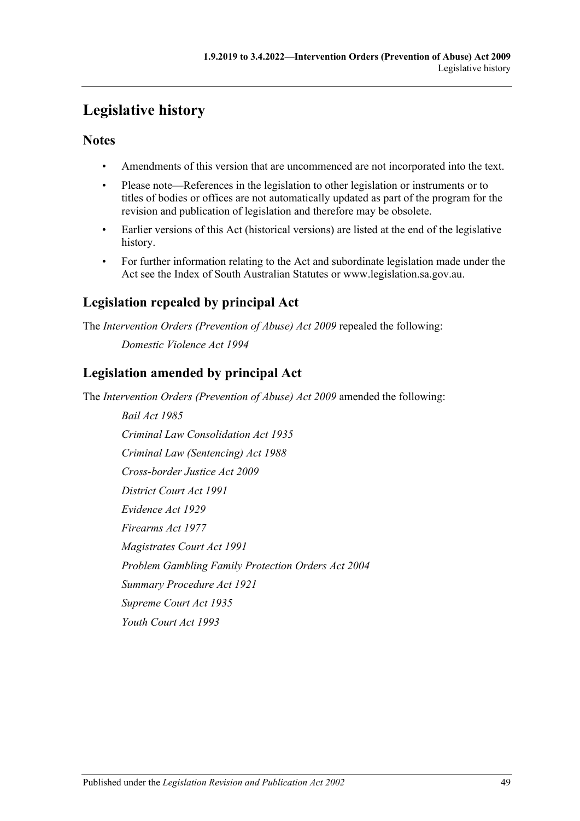# <span id="page-48-0"></span>**Legislative history**

# **Notes**

- Amendments of this version that are uncommenced are not incorporated into the text.
- Please note—References in the legislation to other legislation or instruments or to titles of bodies or offices are not automatically updated as part of the program for the revision and publication of legislation and therefore may be obsolete.
- Earlier versions of this Act (historical versions) are listed at the end of the legislative history.
- For further information relating to the Act and subordinate legislation made under the Act see the Index of South Australian Statutes or www.legislation.sa.gov.au.

# **Legislation repealed by principal Act**

The *Intervention Orders (Prevention of Abuse) Act 2009* repealed the following: *Domestic Violence Act 1994*

# **Legislation amended by principal Act**

The *Intervention Orders (Prevention of Abuse) Act 2009* amended the following:

*Bail Act 1985 Criminal Law Consolidation Act 1935 Criminal Law (Sentencing) Act 1988 Cross-border Justice Act 2009 District Court Act 1991 Evidence Act 1929 Firearms Act 1977 Magistrates Court Act 1991 Problem Gambling Family Protection Orders Act 2004 Summary Procedure Act 1921 Supreme Court Act 1935 Youth Court Act 1993*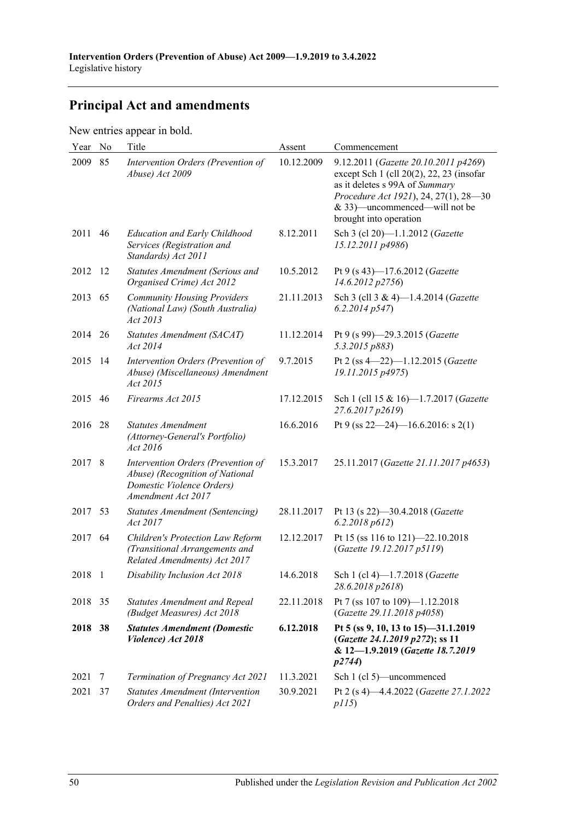# **Principal Act and amendments**

New entries appear in bold.

| Year    | No  | Title                                                                                                                    | Assent     | Commencement                                                                                                                                                                                                           |
|---------|-----|--------------------------------------------------------------------------------------------------------------------------|------------|------------------------------------------------------------------------------------------------------------------------------------------------------------------------------------------------------------------------|
| 2009    | 85  | Intervention Orders (Prevention of<br>Abuse) Act 2009                                                                    | 10.12.2009 | 9.12.2011 (Gazette 20.10.2011 p4269)<br>except Sch 1 (cll 20(2), 22, 23 (insofar<br>as it deletes s 99A of Summary<br>Procedure Act 1921), 24, 27(1), 28-30<br>& 33)—uncommenced—will not be<br>brought into operation |
| 2011    | 46  | <b>Education and Early Childhood</b><br>Services (Registration and<br>Standards) Act 2011                                | 8.12.2011  | Sch 3 (cl 20)-1.1.2012 (Gazette<br>15.12.2011 p4986)                                                                                                                                                                   |
| 2012    | 12  | Statutes Amendment (Serious and<br>Organised Crime) Act 2012                                                             | 10.5.2012  | Pt 9 (s 43)-17.6.2012 (Gazette<br>14.6.2012 p2756)                                                                                                                                                                     |
| 2013    | 65  | <b>Community Housing Providers</b><br>(National Law) (South Australia)<br>Act 2013                                       | 21.11.2013 | Sch 3 (cll 3 & 4)-1.4.2014 (Gazette<br>6.2.2014p547                                                                                                                                                                    |
| 2014    | 26  | Statutes Amendment (SACAT)<br>Act 2014                                                                                   | 11.12.2014 | Pt 9 (s 99)-29.3.2015 (Gazette<br>5.3.2015 p883)                                                                                                                                                                       |
| 2015    | -14 | Intervention Orders (Prevention of<br>Abuse) (Miscellaneous) Amendment<br>Act 2015                                       | 9.7.2015   | Pt 2 (ss 4-22)-1.12.2015 (Gazette<br>19.11.2015 p4975)                                                                                                                                                                 |
| 2015    | 46  | Firearms Act 2015                                                                                                        | 17.12.2015 | Sch 1 (cll 15 & 16)-1.7.2017 (Gazette<br>27.6.2017 p2619)                                                                                                                                                              |
| 2016    | 28  | <b>Statutes Amendment</b><br>(Attorney-General's Portfolio)<br>Act 2016                                                  | 16.6.2016  | Pt 9 (ss $22-24$ )-16.6.2016: s 2(1)                                                                                                                                                                                   |
| 2017 8  |     | Intervention Orders (Prevention of<br>Abuse) (Recognition of National<br>Domestic Violence Orders)<br>Amendment Act 2017 | 15.3.2017  | 25.11.2017 (Gazette 21.11.2017 p4653)                                                                                                                                                                                  |
| 2017 53 |     | <b>Statutes Amendment (Sentencing)</b><br>Act 2017                                                                       | 28.11.2017 | Pt 13 (s 22)-30.4.2018 (Gazette<br>6.2.2018 p612)                                                                                                                                                                      |
| 2017    | 64  | Children's Protection Law Reform<br>(Transitional Arrangements and<br>Related Amendments) Act 2017                       | 12.12.2017 | Pt 15 (ss 116 to 121)-22.10.2018<br>(Gazette 19.12.2017 p5119)                                                                                                                                                         |
| 2018 1  |     | Disability Inclusion Act 2018                                                                                            | 14.6.2018  | Sch 1 (cl 4)-1.7.2018 (Gazette<br>28.6.2018 p2618)                                                                                                                                                                     |
| 2018    | 35  | <b>Statutes Amendment and Repeal</b><br>(Budget Measures) Act 2018                                                       | 22.11.2018 | Pt 7 (ss 107 to 109)-1.12.2018<br>(Gazette 29.11.2018 p4058)                                                                                                                                                           |
| 2018    | 38  | <b>Statutes Amendment (Domestic</b><br>Violence) Act 2018                                                                | 6.12.2018  | Pt 5 (ss 9, 10, 13 to 15)-31.1.2019<br>(Gazette 24.1.2019 p272); ss 11<br>& 12-1.9.2019 (Gazette 18.7.2019<br>p2744)                                                                                                   |
| 2021    | 7   | Termination of Pregnancy Act 2021                                                                                        | 11.3.2021  | Sch 1 (cl 5)—uncommenced                                                                                                                                                                                               |
| 2021    | 37  | Statutes Amendment (Intervention<br>Orders and Penalties) Act 2021                                                       | 30.9.2021  | Pt 2 (s 4)-4.4.2022 (Gazette 27.1.2022<br>p115)                                                                                                                                                                        |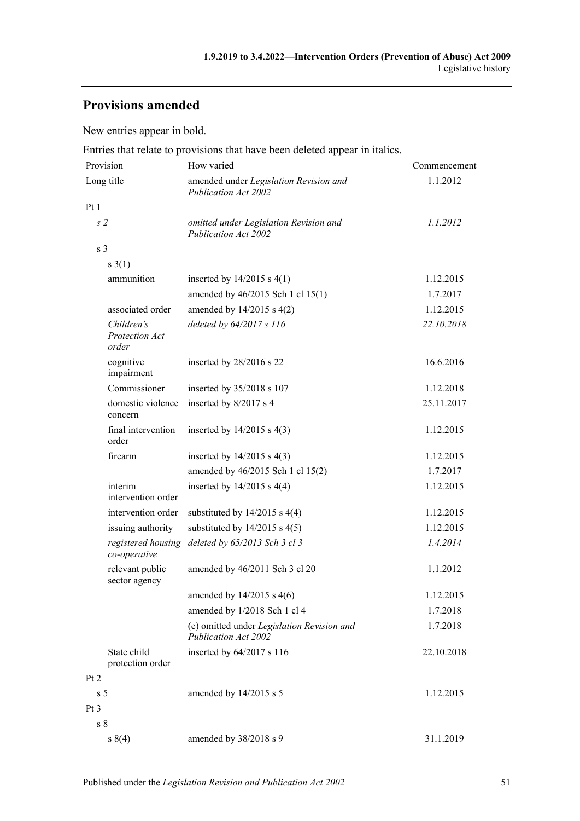# **Provisions amended**

New entries appear in bold.

Entries that relate to provisions that have been deleted appear in italics.

| Provision                             | How varied                                                                | Commencement |  |
|---------------------------------------|---------------------------------------------------------------------------|--------------|--|
| Long title                            | amended under Legislation Revision and<br>Publication Act 2002            | 1.1.2012     |  |
| Pt1                                   |                                                                           |              |  |
| s <sub>2</sub>                        | omitted under Legislation Revision and<br>Publication Act 2002            | 1.1.2012     |  |
| s <sub>3</sub>                        |                                                                           |              |  |
| s(1)                                  |                                                                           |              |  |
| ammunition                            | inserted by $14/2015$ s $4(1)$                                            | 1.12.2015    |  |
|                                       | amended by 46/2015 Sch 1 cl 15(1)                                         | 1.7.2017     |  |
| associated order                      | amended by $14/2015$ s $4(2)$                                             | 1.12.2015    |  |
| Children's<br>Protection Act<br>order | deleted by 64/2017 s 116                                                  | 22.10.2018   |  |
| cognitive<br>impairment               | inserted by 28/2016 s 22                                                  | 16.6.2016    |  |
| Commissioner                          | inserted by 35/2018 s 107                                                 | 1.12.2018    |  |
| domestic violence<br>concern          | inserted by 8/2017 s 4                                                    | 25.11.2017   |  |
| final intervention<br>order           | inserted by $14/2015$ s $4(3)$                                            | 1.12.2015    |  |
| firearm                               | inserted by $14/2015$ s $4(3)$                                            | 1.12.2015    |  |
|                                       | amended by 46/2015 Sch 1 cl 15(2)                                         | 1.7.2017     |  |
| interim<br>intervention order         | inserted by $14/2015$ s $4(4)$                                            | 1.12.2015    |  |
| intervention order                    | substituted by $14/2015$ s $4(4)$                                         | 1.12.2015    |  |
| issuing authority                     | substituted by $14/2015$ s $4(5)$                                         | 1.12.2015    |  |
| registered housing<br>co-operative    | deleted by 65/2013 Sch 3 cl 3                                             | 1.4.2014     |  |
| relevant public<br>sector agency      | amended by 46/2011 Sch 3 cl 20                                            | 1.1.2012     |  |
|                                       | amended by $14/2015$ s $4(6)$                                             | 1.12.2015    |  |
|                                       | amended by 1/2018 Sch 1 cl 4                                              | 1.7.2018     |  |
|                                       | (e) omitted under Legislation Revision and<br><b>Publication Act 2002</b> | 1.7.2018     |  |
| State child<br>protection order       | inserted by 64/2017 s 116                                                 | 22.10.2018   |  |
| Pt 2                                  |                                                                           |              |  |
| s <sub>5</sub>                        | amended by 14/2015 s 5                                                    | 1.12.2015    |  |
| Pt <sub>3</sub>                       |                                                                           |              |  |
| s <sub>8</sub>                        |                                                                           |              |  |
| s(4)                                  | amended by 38/2018 s 9                                                    | 31.1.2019    |  |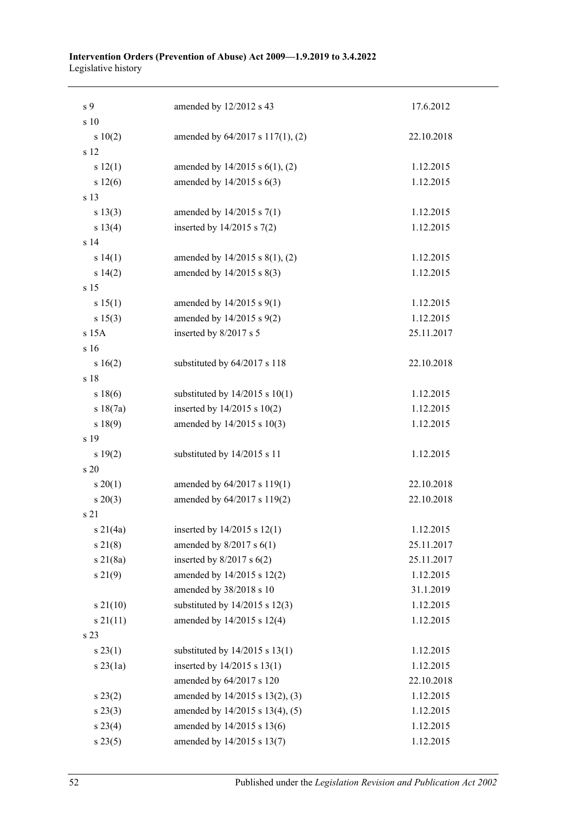#### **Intervention Orders (Prevention of Abuse) Act 2009—1.9.2019 to 3.4.2022** Legislative history

| s 9             | amended by 12/2012 s 43            | 17.6.2012  |
|-----------------|------------------------------------|------------|
| s 10            |                                    |            |
| s 10(2)         | amended by 64/2017 s 117(1), (2)   | 22.10.2018 |
| s 12            |                                    |            |
| s 12(1)         | amended by 14/2015 s 6(1), (2)     | 1.12.2015  |
| s 12(6)         | amended by 14/2015 s 6(3)          | 1.12.2015  |
| s 13            |                                    |            |
| s 13(3)         | amended by 14/2015 s 7(1)          | 1.12.2015  |
| s 13(4)         | inserted by $14/2015$ s $7(2)$     | 1.12.2015  |
| s <sub>14</sub> |                                    |            |
| s 14(1)         | amended by 14/2015 s 8(1), (2)     | 1.12.2015  |
| s 14(2)         | amended by 14/2015 s 8(3)          | 1.12.2015  |
| s 15            |                                    |            |
| s 15(1)         | amended by 14/2015 s 9(1)          | 1.12.2015  |
| s 15(3)         | amended by 14/2015 s 9(2)          | 1.12.2015  |
| s 15A           | inserted by 8/2017 s 5             | 25.11.2017 |
| s 16            |                                    |            |
| s 16(2)         | substituted by 64/2017 s 118       | 22.10.2018 |
| s 18            |                                    |            |
| s 18(6)         | substituted by $14/2015$ s $10(1)$ | 1.12.2015  |
| s 18(7a)        | inserted by $14/2015$ s $10(2)$    | 1.12.2015  |
| s 18(9)         | amended by 14/2015 s 10(3)         | 1.12.2015  |
| s 19            |                                    |            |
| s 19(2)         | substituted by 14/2015 s 11        | 1.12.2015  |
| s 20            |                                    |            |
| $s \ 20(1)$     | amended by 64/2017 s 119(1)        | 22.10.2018 |
| $s \ 20(3)$     | amended by 64/2017 s 119(2)        | 22.10.2018 |
| s 21            |                                    |            |
| s 21 $(4a)$     | inserted by $14/2015$ s $12(1)$    | 1.12.2015  |
| $s \, 21(8)$    | amended by $8/2017$ s $6(1)$       | 25.11.2017 |
| $s \ 21(8a)$    | inserted by $8/2017$ s $6(2)$      | 25.11.2017 |
| s 21(9)         | amended by 14/2015 s 12(2)         | 1.12.2015  |
|                 | amended by 38/2018 s 10            | 31.1.2019  |
| $s\ 21(10)$     | substituted by $14/2015$ s $12(3)$ | 1.12.2015  |
| $s \, 21(11)$   | amended by 14/2015 s 12(4)         | 1.12.2015  |
| s 23            |                                    |            |
| s 23(1)         | substituted by $14/2015$ s $13(1)$ | 1.12.2015  |
| $s$ 23(1a)      | inserted by 14/2015 s 13(1)        | 1.12.2015  |
|                 | amended by 64/2017 s 120           | 22.10.2018 |
| s 23(2)         | amended by 14/2015 s 13(2), (3)    | 1.12.2015  |
| $s\,23(3)$      | amended by 14/2015 s 13(4), (5)    | 1.12.2015  |
| s 23(4)         | amended by 14/2015 s 13(6)         | 1.12.2015  |
| s 23(5)         | amended by 14/2015 s 13(7)         | 1.12.2015  |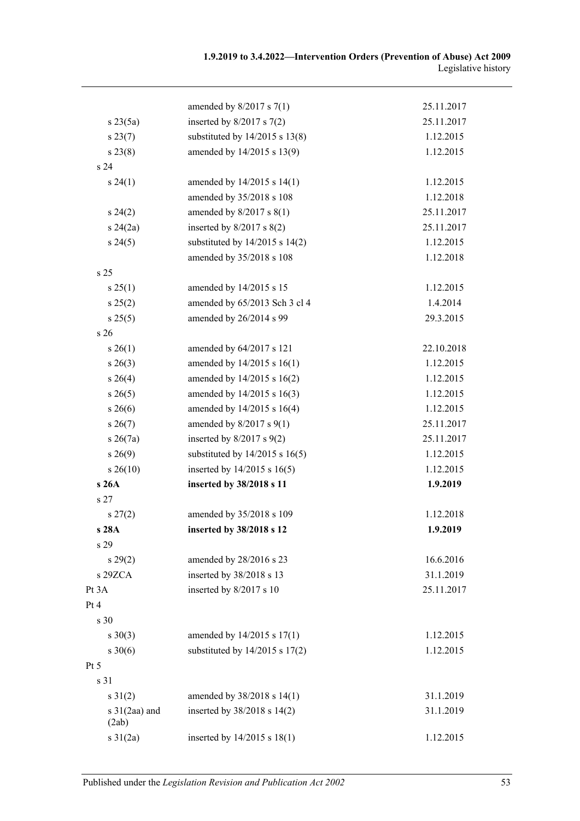|                          | amended by $8/2017$ s $7(1)$       | 25.11.2017 |
|--------------------------|------------------------------------|------------|
| $s \, 23(5a)$            | inserted by $8/2017$ s $7(2)$      | 25.11.2017 |
| s 23(7)                  | substituted by $14/2015$ s $13(8)$ | 1.12.2015  |
| $s\,23(8)$               | amended by 14/2015 s 13(9)         | 1.12.2015  |
| s <sub>24</sub>          |                                    |            |
| s 24(1)                  | amended by 14/2015 s 14(1)         | 1.12.2015  |
|                          | amended by 35/2018 s 108           | 1.12.2018  |
| $s\,24(2)$               | amended by $8/2017$ s $8(1)$       | 25.11.2017 |
| $s\,24(2a)$              | inserted by $8/2017$ s $8(2)$      | 25.11.2017 |
| s 24(5)                  | substituted by $14/2015$ s $14(2)$ | 1.12.2015  |
|                          | amended by 35/2018 s 108           | 1.12.2018  |
| s <sub>25</sub>          |                                    |            |
| s 25(1)                  | amended by 14/2015 s 15            | 1.12.2015  |
| s 25(2)                  | amended by 65/2013 Sch 3 cl 4      | 1.4.2014   |
| s 25(5)                  | amended by 26/2014 s 99            | 29.3.2015  |
| s <sub>26</sub>          |                                    |            |
| $s \, 26(1)$             | amended by 64/2017 s 121           | 22.10.2018 |
| $s\,26(3)$               | amended by 14/2015 s 16(1)         | 1.12.2015  |
| $s \; 26(4)$             | amended by 14/2015 s 16(2)         | 1.12.2015  |
| $s \, 26(5)$             | amended by 14/2015 s 16(3)         | 1.12.2015  |
| $s \; 26(6)$             | amended by 14/2015 s 16(4)         | 1.12.2015  |
| $s \, 26(7)$             | amended by $8/2017$ s $9(1)$       | 25.11.2017 |
| $s \; 26(7a)$            | inserted by $8/2017$ s $9(2)$      | 25.11.2017 |
| $s\,26(9)$               | substituted by $14/2015$ s $16(5)$ | 1.12.2015  |
| $s \, 26(10)$            | inserted by $14/2015$ s $16(5)$    | 1.12.2015  |
| s 26A                    | inserted by 38/2018 s 11           | 1.9.2019   |
| s <sub>27</sub>          |                                    |            |
| $s\,27(2)$               | amended by 35/2018 s 109           | 1.12.2018  |
| s 28A                    | inserted by 38/2018 s 12           | 1.9.2019   |
| s <sub>29</sub>          |                                    |            |
| s 29(2)                  | amended by 28/2016 s 23            | 16.6.2016  |
| s 29ZCA                  | inserted by 38/2018 s 13           | 31.1.2019  |
| Pt 3A                    | inserted by 8/2017 s 10            | 25.11.2017 |
| Pt 4                     |                                    |            |
| s 30                     |                                    |            |
| $s \ 30(3)$              | amended by 14/2015 s 17(1)         | 1.12.2015  |
| $s \ 30(6)$              | substituted by $14/2015$ s $17(2)$ | 1.12.2015  |
| Pt 5                     |                                    |            |
| s 31                     |                                    |            |
| $s \, 31(2)$             | amended by 38/2018 s 14(1)         | 31.1.2019  |
| s $31(2aa)$ and<br>(2ab) | inserted by 38/2018 s 14(2)        | 31.1.2019  |
| $s \, 31(2a)$            | inserted by $14/2015$ s $18(1)$    | 1.12.2015  |